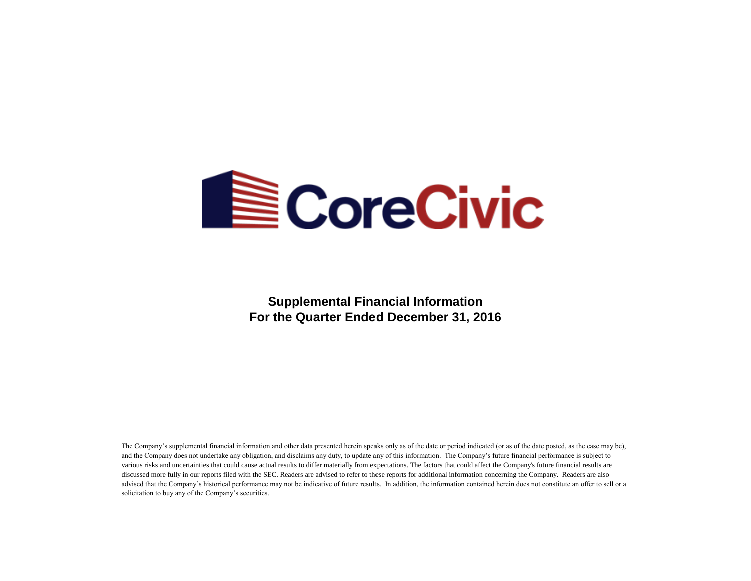

**Supplemental Financial Information For the Quarter Ended December 31, 2016**

The Company's supplemental financial information and other data presented herein speaks only as of the date or period indicated (or as of the date posted, as the case may be), and the Company does not undertake any obligation, and disclaims any duty, to update any of this information. The Company's future financial performance is subject to various risks and uncertainties that could cause actual results to differ materially from expectations. The factors that could affect the Company's future financial results are discussed more fully in our reports filed with the SEC. Readers are advised to refer to these reports for additional information concerning the Company. Readers are also advised that the Company's historical performance may not be indicative of future results. In addition, the information contained herein does not constitute an offer to sell or a solicitation to buy any of the Company's securities.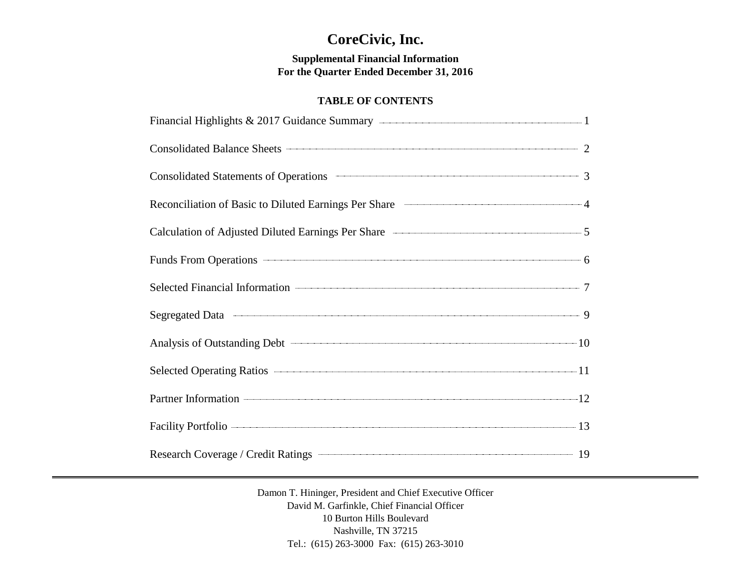# **CoreCivic, Inc.**

**Supplemental Financial Information For the Quarter Ended December 31, 2016**

# **TABLE OF CONTENTS**

| Financial Highlights & 2017 Guidance Summary <b>Constanting Constanting Constanting Constanting Constanting Constanting Constanting Constanting Constanting Constanting Constanting Constanting Constanting Constanting Constant</b> |  |
|--------------------------------------------------------------------------------------------------------------------------------------------------------------------------------------------------------------------------------------|--|
| Consolidated Balance Sheets 2                                                                                                                                                                                                        |  |
| Consolidated Statements of Operations Theorem 23                                                                                                                                                                                     |  |
| Reconciliation of Basic to Diluted Earnings Per Share 44                                                                                                                                                                             |  |
| Calculation of Adjusted Diluted Earnings Per Share <b>Calculation</b> of Adjusted Diluted Earnings Per Share                                                                                                                         |  |
| Funds From Operations 6                                                                                                                                                                                                              |  |
|                                                                                                                                                                                                                                      |  |
|                                                                                                                                                                                                                                      |  |
| Analysis of Outstanding Debt 10                                                                                                                                                                                                      |  |
| Selected Operating Ratios 2014 11                                                                                                                                                                                                    |  |
| Partner Information 12                                                                                                                                                                                                               |  |
| Facility Portfolio 2008 2014 13                                                                                                                                                                                                      |  |
|                                                                                                                                                                                                                                      |  |

Damon T. Hininger, President and Chief Executive Officer David M. Garfinkle, Chief Financial Officer 10 Burton Hills Boulevard Nashville, TN 37215 Tel.: (615) 263-3000 Fax: (615) 263-3010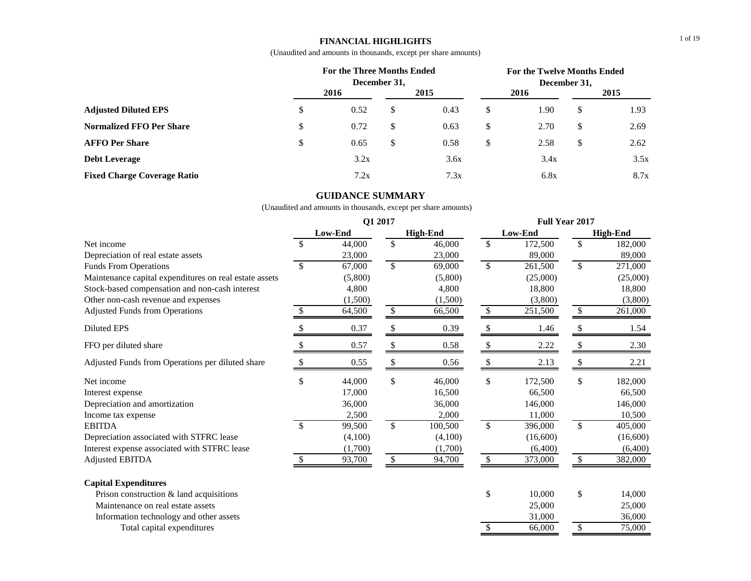# **FINANCIAL HIGHLIGHTS**

(Unaudited and amounts in thousands, except per share amounts)

|                                    | For the Three Months Ended | December 31. |      |               |      | December 31, | For the Twelve Months Ended |  |
|------------------------------------|----------------------------|--------------|------|---------------|------|--------------|-----------------------------|--|
|                                    | 2016                       |              | 2015 |               | 2016 |              | 2015                        |  |
| <b>Adjusted Diluted EPS</b>        | \$<br>0.52                 | \$           | 0.43 | \$            | 1.90 | S            | 1.93                        |  |
| <b>Normalized FFO Per Share</b>    | \$<br>0.72                 | \$           | 0.63 | \$            | 2.70 | S.           | 2.69                        |  |
| <b>AFFO Per Share</b>              | \$<br>0.65                 | \$           | 0.58 | <sup>\$</sup> | 2.58 | S            | 2.62                        |  |
| <b>Debt Leverage</b>               | 3.2x                       |              | 3.6x |               | 3.4x |              | 3.5x                        |  |
| <b>Fixed Charge Coverage Ratio</b> | 7.2x                       |              | 7.3x |               | 6.8x |              | 8.7x                        |  |

# **GUIDANCE SUMMARY**

|                                                        | Q1 2017       |         |    |                 |              | <b>Full Year 2017</b> |              |                 |  |  |
|--------------------------------------------------------|---------------|---------|----|-----------------|--------------|-----------------------|--------------|-----------------|--|--|
|                                                        | Low-End       |         |    | <b>High-End</b> |              | Low-End               |              | <b>High-End</b> |  |  |
| Net income                                             | $\mathcal{S}$ | 44,000  | \$ | 46,000          | \$           | 172,500               | \$           | 182,000         |  |  |
| Depreciation of real estate assets                     |               | 23,000  |    | 23,000          |              | 89,000                |              | 89,000          |  |  |
| <b>Funds From Operations</b>                           | -S            | 67,000  | \$ | 69,000          | $\mathbb{S}$ | 261,500               | \$           | 271,000         |  |  |
| Maintenance capital expenditures on real estate assets |               | (5,800) |    | (5,800)         |              | (25,000)              |              | (25,000)        |  |  |
| Stock-based compensation and non-cash interest         |               | 4.800   |    | 4,800           |              | 18,800                |              | 18,800          |  |  |
| Other non-cash revenue and expenses                    |               | (1,500) |    | (1,500)         |              | (3,800)               |              | (3,800)         |  |  |
| <b>Adjusted Funds from Operations</b>                  | <sup>\$</sup> | 64,500  | \$ | 66,500          | \$           | 251,500               | \$           | 261,000         |  |  |
| <b>Diluted EPS</b>                                     | S             | 0.37    | \$ | 0.39            | \$           | 1.46                  | \$           | 1.54            |  |  |
| FFO per diluted share                                  | -S            | 0.57    | \$ | 0.58            | \$           | 2.22                  | \$           | 2.30            |  |  |
| Adjusted Funds from Operations per diluted share       | -S            | 0.55    | \$ | 0.56            | \$           | 2.13                  | \$           | 2.21            |  |  |
| Net income                                             | \$            | 44,000  | \$ | 46,000          | \$           | 172,500               | \$           | 182,000         |  |  |
| Interest expense                                       |               | 17,000  |    | 16,500          |              | 66,500                |              | 66,500          |  |  |
| Depreciation and amortization                          |               | 36,000  |    | 36,000          |              | 146,000               |              | 146,000         |  |  |
| Income tax expense                                     |               | 2,500   |    | 2,000           |              | 11,000                |              | 10,500          |  |  |
| <b>EBITDA</b>                                          | $\mathcal{S}$ | 99,500  | \$ | 100,500         | $\mathbb{S}$ | 396,000               | $\mathbb{S}$ | 405,000         |  |  |
| Depreciation associated with STFRC lease               |               | (4,100) |    | (4,100)         |              | (16,600)              |              | (16,600)        |  |  |
| Interest expense associated with STFRC lease           |               | (1,700) |    | (1,700)         |              | (6,400)               |              | (6,400)         |  |  |
| <b>Adjusted EBITDA</b>                                 | <sup>\$</sup> | 93,700  | \$ | 94,700          | \$           | 373,000               | \$           | 382,000         |  |  |
| <b>Capital Expenditures</b>                            |               |         |    |                 |              |                       |              |                 |  |  |
| Prison construction & land acquisitions                |               |         |    |                 | \$           | 10,000                | \$           | 14,000          |  |  |
| Maintenance on real estate assets                      |               |         |    |                 |              | 25,000                |              | 25,000          |  |  |
| Information technology and other assets                |               |         |    |                 |              | 31,000                |              | 36,000          |  |  |
| Total capital expenditures                             |               |         |    |                 | \$           | 66,000                | \$           | 75,000          |  |  |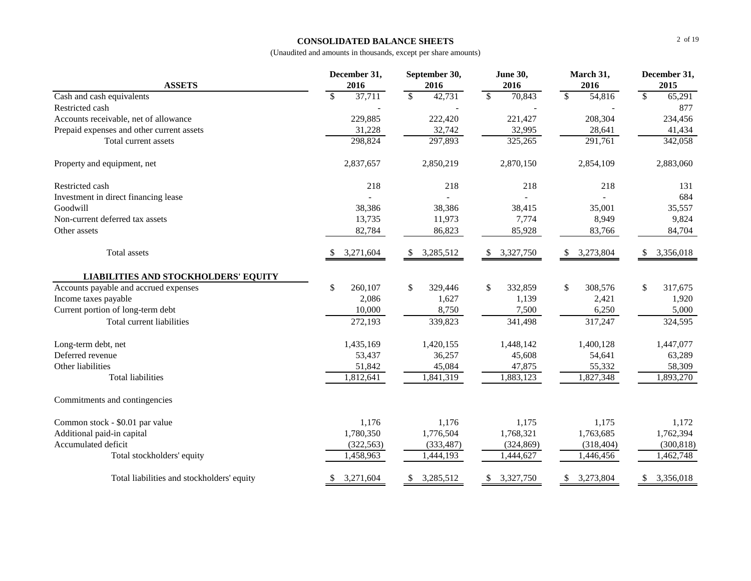# **CONSOLIDATED BALANCE SHEETS**

|                                             | December 31,            | September 30,          | <b>June 30,</b>         | March 31,              | December 31,           |  |  |
|---------------------------------------------|-------------------------|------------------------|-------------------------|------------------------|------------------------|--|--|
| <b>ASSETS</b>                               | 2016                    | 2016                   | 2016                    | 2016                   | 2015                   |  |  |
| Cash and cash equivalents                   | $\mathsf{\$}$<br>37,711 | $\mathbb{S}$<br>42,731 | $\mathbb{S}$<br>70,843  | $\mathbf{s}$<br>54,816 | $\mathbb{S}$<br>65,291 |  |  |
| Restricted cash                             |                         |                        |                         |                        | 877                    |  |  |
| Accounts receivable, net of allowance       | 229,885                 | 222,420                | 221,427                 | 208,304                | 234,456                |  |  |
| Prepaid expenses and other current assets   | 31,228                  | 32,742                 | 32,995                  | 28,641                 | 41,434                 |  |  |
| Total current assets                        | 298,824                 | 297,893                | 325,265                 | 291,761                | 342,058                |  |  |
| Property and equipment, net                 | 2,837,657               | 2,850,219              | 2,870,150               | 2,854,109              | 2,883,060              |  |  |
| Restricted cash                             | 218                     | 218                    | 218                     | 218                    | 131                    |  |  |
| Investment in direct financing lease        |                         |                        |                         |                        | 684                    |  |  |
| Goodwill                                    | 38,386                  | 38,386                 | 38,415                  | 35,001                 | 35,557                 |  |  |
| Non-current deferred tax assets             | 13,735                  | 11,973                 | 7,774                   | 8,949                  | 9,824                  |  |  |
| Other assets                                | 82,784                  | 86,823                 | 85,928                  | 83,766                 | 84,704                 |  |  |
| Total assets                                | 3,271,604<br>S          | 3,285,512<br>\$        | 3,327,750<br>\$         | 3,273,804<br>\$        | \$<br>3,356,018        |  |  |
| <b>LIABILITIES AND STOCKHOLDERS' EQUITY</b> |                         |                        |                         |                        |                        |  |  |
| Accounts payable and accrued expenses       | $\mathbb{S}$<br>260,107 | \$<br>329,446          | $\mathbb{S}$<br>332,859 | \$<br>308,576          | \$<br>317,675          |  |  |
| Income taxes payable                        | 2,086                   | 1,627                  | 1,139                   | 2,421                  | 1,920                  |  |  |
| Current portion of long-term debt           | 10,000                  | 8,750                  | 7,500                   | 6,250                  | 5,000                  |  |  |
| Total current liabilities                   | 272,193                 | 339,823                | 341,498                 | 317,247                | 324,595                |  |  |
| Long-term debt, net                         | 1,435,169               | 1,420,155              | 1,448,142               | 1,400,128              | 1,447,077              |  |  |
| Deferred revenue                            | 53,437                  | 36,257                 | 45,608                  | 54,641                 | 63,289                 |  |  |
| Other liabilities                           | 51,842                  | 45,084                 | 47,875                  | 55,332                 | 58,309                 |  |  |
| <b>Total liabilities</b>                    | 1,812,641               | 1,841,319              | 1,883,123               | 1,827,348              | 1,893,270              |  |  |
| Commitments and contingencies               |                         |                        |                         |                        |                        |  |  |
| Common stock - \$0.01 par value             | 1,176                   | 1,176                  | 1,175                   | 1,175                  | 1,172                  |  |  |
| Additional paid-in capital                  | 1,780,350               | 1,776,504              | 1,768,321               | 1,763,685              | 1,762,394              |  |  |
| Accumulated deficit                         | (322, 563)              | (333, 487)             | (324, 869)              | (318, 404)             | (300, 818)             |  |  |
| Total stockholders' equity                  | 1,458,963               | 1,444,193              | 1,444,627               | 1,446,456              | 1,462,748              |  |  |
| Total liabilities and stockholders' equity  | 3,271,604<br>\$         | 3,285,512<br>\$        | 3,327,750<br>\$         | 3,273,804<br>\$        | 3,356,018<br>\$        |  |  |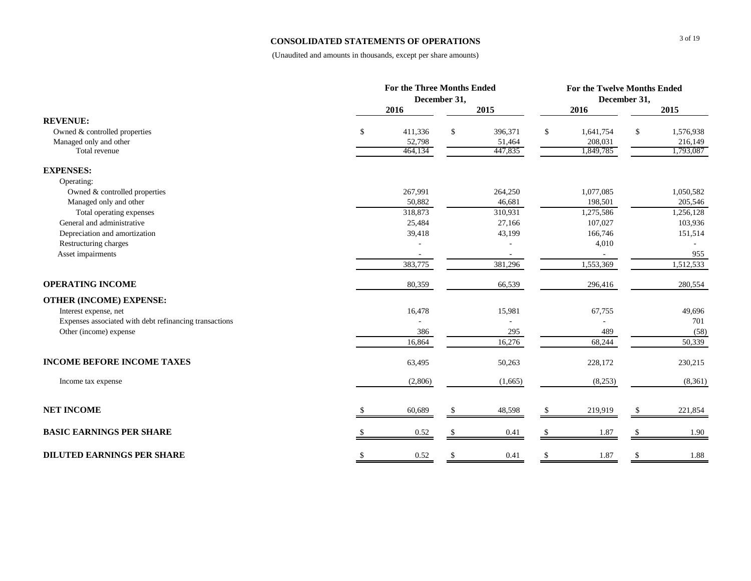## **CONSOLIDATED STATEMENTS OF OPERATIONS**

|                                                        |               | <b>For the Three Months Ended</b> |    |         |              | For the Twelve Months Ended |              |           |  |  |
|--------------------------------------------------------|---------------|-----------------------------------|----|---------|--------------|-----------------------------|--------------|-----------|--|--|
|                                                        |               | December 31,                      |    |         |              |                             | December 31, |           |  |  |
|                                                        |               | 2016                              |    | 2015    |              | 2016                        |              | 2015      |  |  |
| <b>REVENUE:</b>                                        |               |                                   |    |         |              |                             |              |           |  |  |
| Owned & controlled properties                          | \$            | 411,336                           | \$ | 396,371 | \$           | 1,641,754                   | \$           | 1,576,938 |  |  |
| Managed only and other                                 |               | 52,798                            |    | 51,464  |              | 208,031                     |              | 216,149   |  |  |
| Total revenue                                          |               | 464,134                           |    | 447,835 |              | 1,849,785                   |              | 1,793,087 |  |  |
| <b>EXPENSES:</b>                                       |               |                                   |    |         |              |                             |              |           |  |  |
| Operating:                                             |               |                                   |    |         |              |                             |              |           |  |  |
| Owned & controlled properties                          |               | 267,991                           |    | 264,250 |              | 1,077,085                   |              | 1,050,582 |  |  |
| Managed only and other                                 |               | 50,882                            |    | 46,681  |              | 198,501                     |              | 205,546   |  |  |
| Total operating expenses                               |               | 318,873                           |    | 310,931 |              | 1,275,586                   |              | 1,256,128 |  |  |
| General and administrative                             |               | 25,484                            |    | 27,166  |              | 107,027                     |              | 103,936   |  |  |
| Depreciation and amortization                          |               | 39,418                            |    | 43,199  |              | 166,746                     |              | 151,514   |  |  |
| Restructuring charges                                  |               |                                   |    |         |              | 4,010                       |              |           |  |  |
| Asset impairments                                      |               |                                   |    |         |              |                             |              | 955       |  |  |
|                                                        |               | 383,775                           |    | 381,296 |              | 1,553,369                   |              | 1,512,533 |  |  |
| <b>OPERATING INCOME</b>                                |               | 80,359                            |    | 66,539  |              | 296,416                     |              | 280,554   |  |  |
| <b>OTHER (INCOME) EXPENSE:</b>                         |               |                                   |    |         |              |                             |              |           |  |  |
| Interest expense, net                                  |               | 16,478                            |    | 15,981  |              | 67,755                      |              | 49,696    |  |  |
| Expenses associated with debt refinancing transactions |               |                                   |    |         |              |                             |              | 701       |  |  |
| Other (income) expense                                 |               | 386                               |    | 295     |              | 489                         |              | (58)      |  |  |
|                                                        |               | 16,864                            |    | 16,276  |              | 68,244                      |              | 50,339    |  |  |
| <b>INCOME BEFORE INCOME TAXES</b>                      |               | 63,495                            |    | 50,263  |              | 228,172                     |              | 230,215   |  |  |
| Income tax expense                                     |               | (2,806)                           |    | (1,665) |              | (8,253)                     |              | (8,361)   |  |  |
| <b>NET INCOME</b>                                      |               | 60,689                            |    | 48,598  | \$.          | 219,919                     |              | 221,854   |  |  |
| <b>BASIC EARNINGS PER SHARE</b>                        |               | 0.52                              |    | 0.41    |              | 1.87                        |              | 1.90      |  |  |
| <b>DILUTED EARNINGS PER SHARE</b>                      | <sup>\$</sup> | 0.52                              | \$ | 0.41    | $\mathbb{S}$ | 1.87                        | \$           | 1.88      |  |  |
|                                                        |               |                                   |    |         |              |                             |              |           |  |  |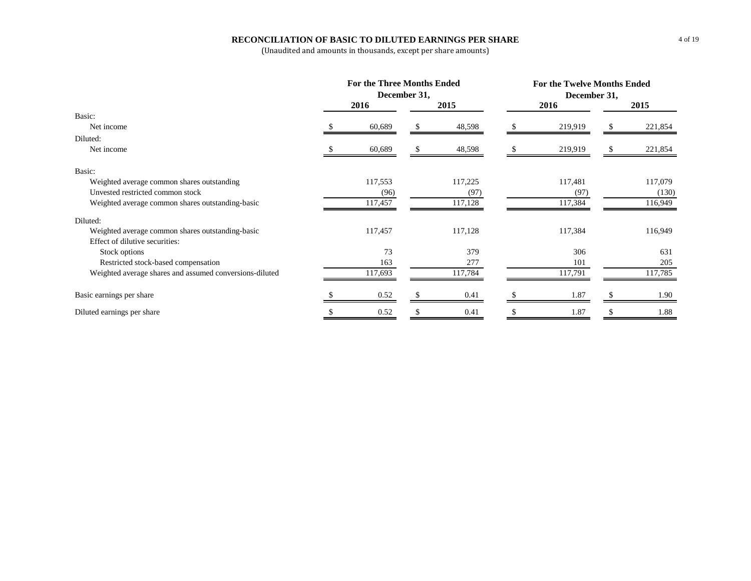# **RECONCILIATION OF BASIC TO DILUTED EARNINGS PER SHARE**

|                                                         | <b>For the Three Months Ended</b><br>December 31, |         |  |         |  | For the Twelve Months Ended<br>December 31, |  |         |  |  |
|---------------------------------------------------------|---------------------------------------------------|---------|--|---------|--|---------------------------------------------|--|---------|--|--|
|                                                         |                                                   | 2016    |  | 2015    |  | 2016                                        |  | 2015    |  |  |
| Basic:                                                  |                                                   |         |  |         |  |                                             |  |         |  |  |
| Net income                                              |                                                   | 60,689  |  | 48,598  |  | 219,919                                     |  | 221,854 |  |  |
| Diluted:                                                |                                                   |         |  |         |  |                                             |  |         |  |  |
| Net income                                              |                                                   | 60,689  |  | 48,598  |  | 219,919                                     |  | 221,854 |  |  |
| Basic:                                                  |                                                   |         |  |         |  |                                             |  |         |  |  |
| Weighted average common shares outstanding              |                                                   | 117,553 |  | 117,225 |  | 117,481                                     |  | 117,079 |  |  |
| Unvested restricted common stock                        |                                                   | (96)    |  | (97)    |  | (97)                                        |  | (130)   |  |  |
| Weighted average common shares outstanding-basic        |                                                   | 117,457 |  | 117,128 |  | 117,384                                     |  | 116,949 |  |  |
| Diluted:                                                |                                                   |         |  |         |  |                                             |  |         |  |  |
| Weighted average common shares outstanding-basic        |                                                   | 117,457 |  | 117,128 |  | 117,384                                     |  | 116,949 |  |  |
| Effect of dilutive securities:                          |                                                   |         |  |         |  |                                             |  |         |  |  |
| Stock options                                           |                                                   | 73      |  | 379     |  | 306                                         |  | 631     |  |  |
| Restricted stock-based compensation                     |                                                   | 163     |  | 277     |  | 101                                         |  | 205     |  |  |
| Weighted average shares and assumed conversions-diluted |                                                   | 117,693 |  | 117,784 |  | 117,791                                     |  | 117,785 |  |  |
| Basic earnings per share                                |                                                   | 0.52    |  | 0.41    |  | 1.87                                        |  | 1.90    |  |  |
| Diluted earnings per share                              |                                                   | 0.52    |  | 0.41    |  | 1.87                                        |  | 1.88    |  |  |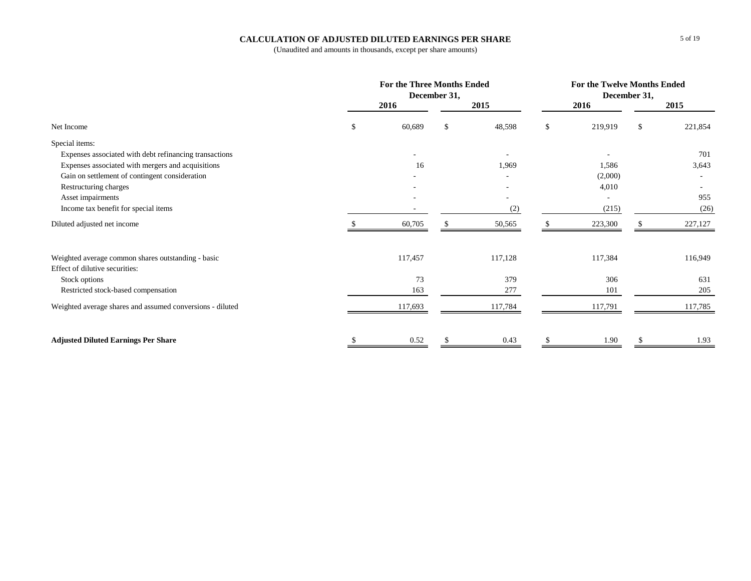# **CALCULATION OF ADJUSTED DILUTED EARNINGS PER SHARE**

|                                                           | <b>For the Three Months Ended</b> | December 31,  |         |    | For the Twelve Months Ended |               |         |
|-----------------------------------------------------------|-----------------------------------|---------------|---------|----|-----------------------------|---------------|---------|
|                                                           | 2016                              |               | 2015    |    | 2016                        |               | 2015    |
| Net Income                                                | \$<br>60,689                      | <sup>\$</sup> | 48,598  | \$ | 219,919                     | $\mathcal{S}$ | 221,854 |
| Special items:                                            |                                   |               |         |    |                             |               |         |
| Expenses associated with debt refinancing transactions    |                                   |               |         |    |                             |               | 701     |
| Expenses associated with mergers and acquisitions         | 16                                |               | 1,969   |    | 1,586                       |               | 3,643   |
| Gain on settlement of contingent consideration            |                                   |               |         |    | (2,000)                     |               |         |
| Restructuring charges                                     |                                   |               |         |    | 4,010                       |               |         |
| Asset impairments                                         |                                   |               |         |    |                             |               | 955     |
| Income tax benefit for special items                      |                                   |               | (2)     |    | (215)                       |               | (26)    |
| Diluted adjusted net income                               | 60,705                            |               | 50,565  | Ÿ. | 223,300                     |               | 227,127 |
| Weighted average common shares outstanding - basic        | 117,457                           |               | 117,128 |    | 117,384                     |               | 116,949 |
| Effect of dilutive securities:                            |                                   |               |         |    |                             |               |         |
| Stock options                                             | 73                                |               | 379     |    | 306                         |               | 631     |
| Restricted stock-based compensation                       | 163                               |               | 277     |    | 101                         |               | 205     |
| Weighted average shares and assumed conversions - diluted | 117,693                           |               | 117,784 |    | 117.791                     |               | 117,785 |
| <b>Adjusted Diluted Earnings Per Share</b>                | 0.52                              |               | 0.43    |    | 1.90                        |               | 1.93    |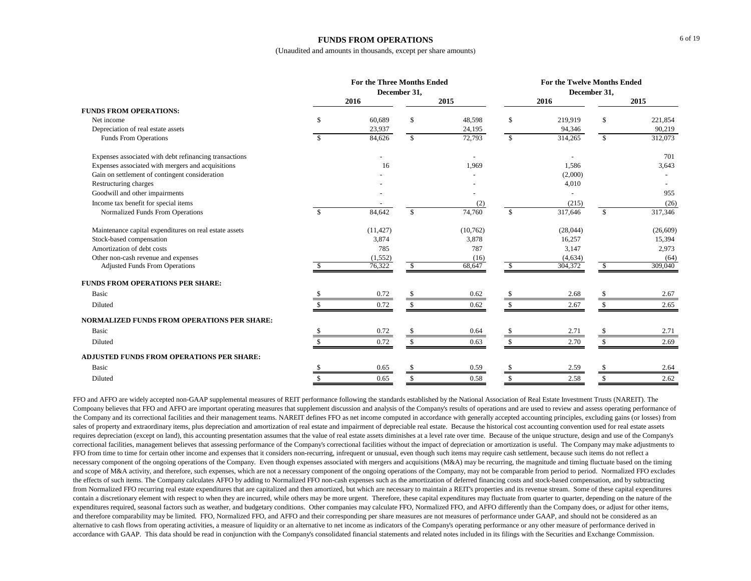### **FUNDS FROM OPERATIONS**

(Unaudited and amounts in thousands, except per share amounts)

|                                                        |               | <b>For the Three Months Ended</b> | December 31,  |          |                    |          | <b>For the Twelve Months Ended</b><br>December 31, |           |  |
|--------------------------------------------------------|---------------|-----------------------------------|---------------|----------|--------------------|----------|----------------------------------------------------|-----------|--|
|                                                        |               | 2016                              |               | 2015     |                    | 2016     |                                                    | 2015      |  |
| <b>FUNDS FROM OPERATIONS:</b>                          |               |                                   |               |          |                    |          |                                                    |           |  |
| Net income                                             | \$            | 60,689                            | <sup>\$</sup> | 48,598   | $\mathbf{\hat{S}}$ | 219,919  | \$                                                 | 221,854   |  |
| Depreciation of real estate assets                     |               | 23,937                            |               | 24,195   |                    | 94,346   |                                                    | 90,219    |  |
| <b>Funds From Operations</b>                           | $\mathcal{S}$ | 84,626                            | $\mathbb{S}$  | 72,793   | $\mathbb{S}$       | 314,265  | $\mathbf{\hat{S}}$                                 | 312,073   |  |
| Expenses associated with debt refinancing transactions |               |                                   |               |          |                    |          |                                                    | 701       |  |
| Expenses associated with mergers and acquisitions      |               | 16                                |               | 1,969    |                    | 1,586    |                                                    | 3,643     |  |
| Gain on settlement of contingent consideration         |               |                                   |               |          |                    | (2,000)  |                                                    |           |  |
| Restructuring charges                                  |               |                                   |               |          |                    | 4,010    |                                                    |           |  |
| Goodwill and other impairments                         |               |                                   |               |          |                    |          |                                                    | 955       |  |
| Income tax benefit for special items                   |               |                                   |               | (2)      |                    | (215)    |                                                    | (26)      |  |
| Normalized Funds From Operations                       | -\$           | 84,642                            | $\mathbf{s}$  | 74,760   | $\mathbf{\$}$      | 317,646  | $\mathbf{s}$                                       | 317,346   |  |
| Maintenance capital expenditures on real estate assets |               | (11, 427)                         |               | (10,762) |                    | (28,044) |                                                    | (26, 609) |  |
| Stock-based compensation                               |               | 3,874                             |               | 3,878    |                    | 16,257   |                                                    | 15,394    |  |
| Amortization of debt costs                             |               | 785                               |               | 787      |                    | 3,147    |                                                    | 2,973     |  |
| Other non-cash revenue and expenses                    |               | (1, 552)                          |               | (16)     |                    | (4, 634) |                                                    | (64)      |  |
| <b>Adjusted Funds From Operations</b>                  |               | 76,322                            | <sup>S</sup>  | 68,647   | <sup>\$</sup>      | 304,372  | -S                                                 | 309,040   |  |
| FUNDS FROM OPERATIONS PER SHARE:                       |               |                                   |               |          |                    |          |                                                    |           |  |
| Basic                                                  |               | 0.72                              |               | 0.62     |                    | 2.68     |                                                    | 2.67      |  |
| Diluted                                                |               | 0.72                              |               | 0.62     |                    | 2.67     | -S                                                 | 2.65      |  |
| <b>NORMALIZED FUNDS FROM OPERATIONS PER SHARE:</b>     |               |                                   |               |          |                    |          |                                                    |           |  |
| Basic                                                  |               | 0.72                              |               | 0.64     |                    | 2.71     |                                                    | 2.71      |  |
| Diluted                                                |               | 0.72                              | S             | 0.63     | -S                 | 2.70     | S.                                                 | 2.69      |  |
| ADJUSTED FUNDS FROM OPERATIONS PER SHARE:              |               |                                   |               |          |                    |          |                                                    |           |  |
| Basic                                                  |               | 0.65                              |               | 0.59     |                    | 2.59     |                                                    | 2.64      |  |
| Diluted                                                |               | 0.65                              |               | 0.58     |                    | 2.58     | \$                                                 | 2.62      |  |

FFO and AFFO are widely accepted non-GAAP supplemental measures of REIT performance following the standards established by the National Association of Real Estate Investment Trusts (NAREIT). The Compoany believes that FFO and AFFO are important operating measures that supplement discussion and analysis of the Company's results of operations and are used to review and assess operating performance of the Company and its correctional facilities and their management teams. NAREIT defines FFO as net income computed in accordance with generally accepted accounting principles, excluding gains (or losses) from sales of property and extraordinary items, plus depreciation and amortization of real estate and impairment of depreciable real estate. Because the historical cost accounting convention used for real estate assets requires depreciation (except on land), this accounting presentation assumes that the value of real estate assets diminishes at a level rate over time. Because of the unique structure, design and use of the Company's correctional facilities, management believes that assessing performance of the Company's correctional facilities without the impact of depreciation or amortization is useful. The Company may make adjustments to FFO from time to time for certain other income and expenses that it considers non-recurring, infrequent or unusual, even though such items may require cash settlement, because such items do not reflect a necessary component of the ongoing operations of the Company. Even though expenses associated with mergers and acquisitions (M&A) may be recurring, the magnitude and timing fluctuate based on the timing and scope of M&A activity, and therefore, such expenses, which are not a necessary component of the ongoing operations of the Company, may not be comparable from period to period. Normalized FFO excludes the effects of such items. The Company calculates AFFO by adding to Normalized FFO non-cash expenses such as the amortization of deferred financing costs and stock-based compensation, and by subtracting from Normalized FFO recurring real estate expenditures that are capitalized and then amortized, but which are necessary to maintain a REIT's properties and its revenue stream. Some of these capital expenditures contain a discretionary element with respect to when they are incurred, while others may be more urgent. Therefore, these capital expenditures may fluctuate from quarter to quarter, depending on the nature of the expenditures required, seasonal factors such as weather, and budgetary conditions. Other companies may calculate FFO, Normalized FFO, and AFFO differently than the Company does, or adjust for other items, and therefore comparability may be limited. FFO, Normalized FFO, and AFFO and their corresponding per share measures are not measures of performance under GAAP, and should not be considered as an alternative to cash flows from operating activities, a measure of liquidity or an alternative to net income as indicators of the Company's operating performance or any other measure of performance derived in accordance with GAAP. This data should be read in conjunction with the Company's consolidated financial statements and related notes included in its filings with the Securities and Exchange Commission.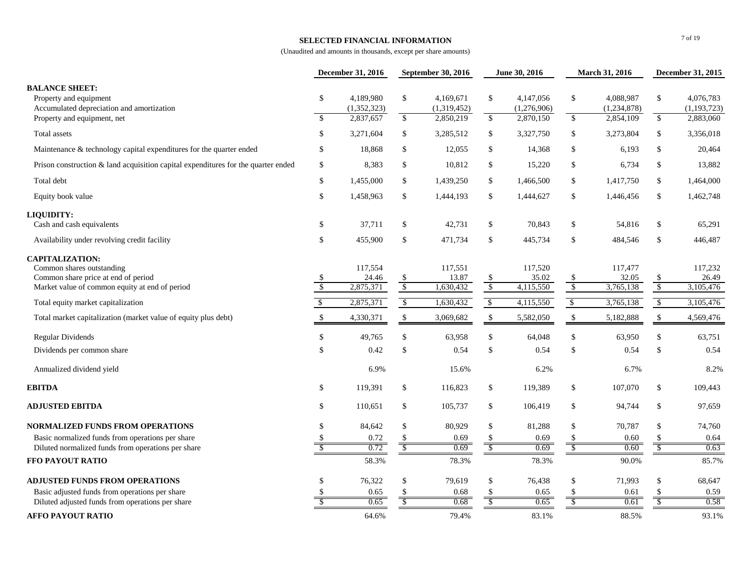### **SELECTED FINANCIAL INFORMATION**

|                                                                                                                                              |                                | December 31, 2016             |                               | September 30, 2016            | June 30, 2016   |                               | March 31, 2016                 |                               | December 31, 2015        |                               |
|----------------------------------------------------------------------------------------------------------------------------------------------|--------------------------------|-------------------------------|-------------------------------|-------------------------------|-----------------|-------------------------------|--------------------------------|-------------------------------|--------------------------|-------------------------------|
| <b>BALANCE SHEET:</b><br>Property and equipment<br>Accumulated depreciation and amortization                                                 | \$                             | 4,189,980<br>(1,352,323)      | $\mathbb{S}$                  | 4,169,671<br>(1,319,452)      | \$              | 4,147,056<br>(1,276,906)      | \$                             | 4,088,987<br>(1,234,878)      | \$                       | 4,076,783<br>(1, 193, 723)    |
| Property and equipment, net                                                                                                                  | $\mathbb{S}$                   | 2,837,657                     | $\overline{\mathcal{S}}$      | 2,850,219                     | $\sqrt{3}$      | 2,870,150                     | \$                             | 2,854,109                     | $\overline{\mathcal{L}}$ | 2,883,060                     |
| Total assets                                                                                                                                 | \$                             | 3,271,604                     | \$                            | 3,285,512                     | \$              | 3,327,750                     | \$                             | 3,273,804                     | \$                       | 3,356,018                     |
| Maintenance & technology capital expenditures for the quarter ended                                                                          | \$                             | 18,868                        | $\mathbb{S}$                  | 12,055                        | \$              | 14,368                        | \$                             | 6,193                         | \$                       | 20,464                        |
| Prison construction $\&$ land acquisition capital expenditures for the quarter ended                                                         | \$                             | 8,383                         | \$                            | 10,812                        | \$              | 15,220                        | \$                             | 6,734                         | \$                       | 13,882                        |
| Total debt                                                                                                                                   | \$                             | 1,455,000                     | \$                            | 1,439,250                     | \$              | 1,466,500                     | \$                             | 1,417,750                     | \$                       | 1,464,000                     |
| Equity book value                                                                                                                            | $\mathbb{S}$                   | 1,458,963                     | $\mathbb{S}$                  | 1,444,193                     | \$              | 1,444,627                     | \$                             | 1,446,456                     | $\mathbb{S}$             | 1,462,748                     |
| LIQUIDITY:                                                                                                                                   |                                |                               |                               |                               |                 |                               |                                |                               |                          |                               |
| Cash and cash equivalents                                                                                                                    | \$                             | 37,711                        | \$                            | 42,731                        | \$              | 70,843                        | \$                             | 54,816                        | \$                       | 65,291                        |
| Availability under revolving credit facility                                                                                                 | \$                             | 455,900                       | \$                            | 471,734                       | \$              | 445,734                       | \$                             | 484,546                       | $\$$                     | 446,487                       |
| <b>CAPITALIZATION:</b><br>Common shares outstanding<br>Common share price at end of period<br>Market value of common equity at end of period | \$<br>$\overline{\mathcal{S}}$ | 117,554<br>24.46<br>2,875,371 | <sup>\$</sup><br>$\mathbb{S}$ | 117,551<br>13.87<br>1,630,432 | $\frac{\$}{\$}$ | 117,520<br>35.02<br>4,115,550 | \$<br>$\sqrt{3}$               | 117,477<br>32.05<br>3,765,138 | $\frac{\$}{\$}$          | 117,232<br>26.49<br>3,105,476 |
| Total equity market capitalization                                                                                                           | $\sqrt{2}$                     | 2,875,371                     | $\sqrt{2}$                    | 1,630,432                     | $\sqrt{2}$      | 4,115,550                     | $\sqrt[6]{\frac{1}{2}}$        | 3,765,138                     | $\sqrt[6]{3}$            | 3,105,476                     |
| Total market capitalization (market value of equity plus debt)                                                                               | \$                             | 4,330,371                     | $\boldsymbol{\mathsf{S}}$     | 3,069,682                     | $\mathcal{S}$   | 5,582,050                     | $\mathbb{S}$                   | 5,182,888                     | $\mathbb{S}$             | 4,569,476                     |
| Regular Dividends                                                                                                                            | \$                             | 49,765                        | \$                            | 63,958                        | \$              | 64,048                        | \$                             | 63,950                        | \$                       | 63,751                        |
| Dividends per common share                                                                                                                   | \$                             | 0.42                          | $\mathcal{S}$                 | 0.54                          | \$              | 0.54                          | $\mathsf{\$}$                  | 0.54                          | \$                       | 0.54                          |
| Annualized dividend yield                                                                                                                    |                                | 6.9%                          |                               | 15.6%                         |                 | 6.2%                          |                                | 6.7%                          |                          | 8.2%                          |
| <b>EBITDA</b>                                                                                                                                | \$                             | 119,391                       | \$                            | 116,823                       | \$              | 119,389                       | \$                             | 107,070                       | \$                       | 109,443                       |
| <b>ADJUSTED EBITDA</b>                                                                                                                       | \$                             | 110,651                       | \$                            | 105,737                       | \$              | 106,419                       | \$                             | 94,744                        | \$                       | 97,659                        |
| <b>NORMALIZED FUNDS FROM OPERATIONS</b>                                                                                                      | $\mathbb{S}$                   | 84,642                        | \$                            | 80,929                        | \$              | 81,288                        | \$                             | 70,787                        | \$                       | 74,760                        |
| Basic normalized funds from operations per share                                                                                             | $\mathbb{S}$                   | 0.72                          | \$                            | 0.69                          | \$              | 0.69                          | \$                             | 0.60                          | \$                       | 0.64                          |
| Diluted normalized funds from operations per share<br>FFO PAYOUT RATIO                                                                       | S                              | 0.72<br>58.3%                 | $\overline{\mathcal{S}}$      | 0.69<br>78.3%                 | <sup>\$</sup>   | 0.69<br>78.3%                 | $\mathcal{S}$                  | 0.60<br>90.0%                 | \$                       | 0.63<br>85.7%                 |
|                                                                                                                                              |                                |                               |                               |                               |                 |                               |                                |                               |                          |                               |
| <b>ADJUSTED FUNDS FROM OPERATIONS</b>                                                                                                        | $\mathbb{S}$                   | 76,322                        | \$                            | 79,619                        | \$              | 76,438                        | \$                             | 71,993                        | \$                       | 68,647                        |
| Basic adjusted funds from operations per share<br>Diluted adjusted funds from operations per share                                           |                                | 0.65<br>0.65                  | <sup>\$</sup>                 | 0.68<br>0.68                  | \$              | 0.65<br>0.65                  | \$<br>$\overline{\mathcal{S}}$ | 0.61<br>0.61                  | \$<br>$\overline{3}$     | 0.59<br>0.58                  |
|                                                                                                                                              |                                |                               |                               |                               |                 |                               |                                |                               |                          |                               |
| <b>AFFO PAYOUT RATIO</b>                                                                                                                     |                                | 64.6%                         |                               | 79.4%                         |                 | 83.1%                         |                                | 88.5%                         |                          | 93.1%                         |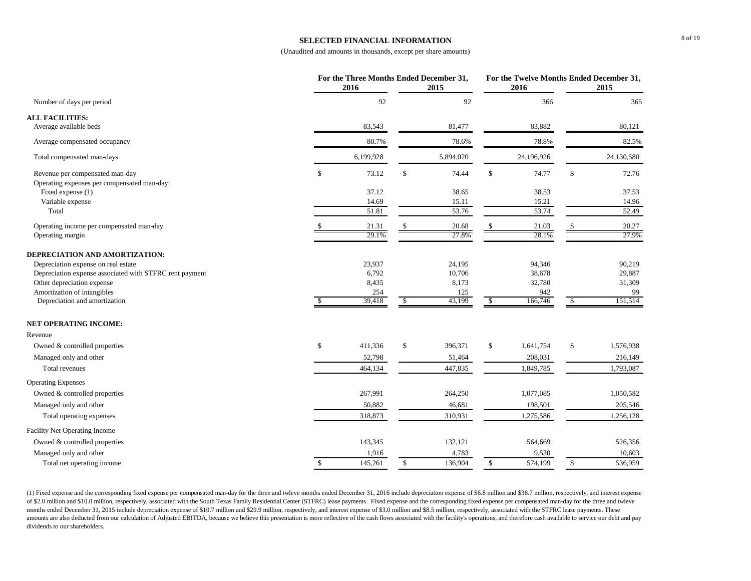### **SELECTED FINANCIAL INFORMATION**

(Unaudited and amounts in thousands, except per share amounts)

|                                                                                |              | For the Three Months Ended December 31,<br>2016 |              | 2015          |              | For the Twelve Months Ended December 31,<br>2016 |              | 2015          |
|--------------------------------------------------------------------------------|--------------|-------------------------------------------------|--------------|---------------|--------------|--------------------------------------------------|--------------|---------------|
| Number of days per period                                                      |              | 92                                              |              | 92            |              | 366                                              |              | 365           |
| <b>ALL FACILITIES:</b>                                                         |              |                                                 |              |               |              |                                                  |              |               |
| Average available beds                                                         |              | 83,543                                          |              | 81,477        |              | 83,882                                           |              | 80,121        |
| Average compensated occupancy                                                  |              | 80.7%                                           |              | 78.6%         |              | 78.8%                                            |              | 82.5%         |
| Total compensated man-days                                                     |              | 6,199,928                                       |              | 5,894,020     |              | 24,196,926                                       |              | 24,130,580    |
| Revenue per compensated man-day<br>Operating expenses per compensated man-day: | $\mathbb{S}$ | 73.12                                           | $\mathbb{S}$ | 74.44         | \$           | 74.77                                            | \$           | 72.76         |
| Fixed expense (1)                                                              |              | 37.12                                           |              | 38.65         |              | 38.53                                            |              | 37.53         |
| Variable expense                                                               |              | 14.69                                           |              | 15.11         |              | 15.21                                            |              | 14.96         |
| Total                                                                          |              | 51.81                                           |              | 53.76         |              | 53.74                                            |              | 52.49         |
| Operating income per compensated man-day                                       |              | 21.31                                           | $\mathbb{S}$ | 20.68         | \$           | 21.03                                            | $\mathbb{S}$ | 20.27         |
| Operating margin                                                               |              | 29.1%                                           |              | 27.8%         |              | 28.1%                                            |              | 27.9%         |
| DEPRECIATION AND AMORTIZATION:                                                 |              |                                                 |              |               |              |                                                  |              |               |
| Depreciation expense on real estate                                            |              | 23,937                                          |              | 24,195        |              | 94,346                                           |              | 90,219        |
| Depreciation expense associated with STFRC rent payment                        |              | 6,792                                           |              | 10,706        |              | 38,678                                           |              | 29,887        |
| Other depreciation expense                                                     |              | 8,435                                           |              | 8,173         |              | 32,780                                           |              | 31,309        |
| Amortization of intangibles<br>Depreciation and amortization                   | \$           | 254<br>39,418                                   | \$           | 125<br>43,199 | \$           | 942<br>166,746                                   | \$           | 99<br>151,514 |
|                                                                                |              |                                                 |              |               |              |                                                  |              |               |
| <b>NET OPERATING INCOME:</b>                                                   |              |                                                 |              |               |              |                                                  |              |               |
| Revenue                                                                        |              |                                                 |              |               |              |                                                  |              |               |
| Owned & controlled properties                                                  | \$           | 411,336                                         | $\mathbb{S}$ | 396,371       | \$           | 1,641,754                                        | \$           | 1,576,938     |
| Managed only and other                                                         |              | 52,798                                          |              | 51,464        |              | 208,031                                          |              | 216,149       |
| <b>Total revenues</b>                                                          |              | 464,134                                         |              | 447,835       |              | 1,849,785                                        |              | 1,793,087     |
| <b>Operating Expenses</b>                                                      |              |                                                 |              |               |              |                                                  |              |               |
| Owned & controlled properties                                                  |              | 267,991                                         |              | 264,250       |              | 1,077,085                                        |              | 1,050,582     |
| Managed only and other                                                         |              | 50,882                                          |              | 46,681        |              | 198,501                                          |              | 205,546       |
| Total operating expenses                                                       |              | 318,873                                         |              | 310,931       |              | 1,275,586                                        |              | 1,256,128     |
| Facility Net Operating Income                                                  |              |                                                 |              |               |              |                                                  |              |               |
| Owned & controlled properties                                                  |              | 143,345                                         |              | 132,121       |              | 564,669                                          |              | 526,356       |
| Managed only and other                                                         |              | 1,916                                           |              | 4,783         |              | 9,530                                            |              | 10,603        |
| Total net operating income                                                     | $\mathbb{S}$ | 145,261                                         | $\mathbb{S}$ | 136,904       | $\mathbb{S}$ | 574,199                                          | $\mathbb{S}$ | 536,959       |

(1) Fixed expense and the corresponding fixed expense per compensated man-day for the three and twleve months ended December 31, 2016 include depreciation expense of \$6.8 million and \$38.7 million, respectively, and intere of \$2.0 million and \$10.0 million, respectively, associated with the South Texas Family Residential Center (STFRC) lease payments. Fixed expense and the corresponding fixed expense per compensated man-day for the three and months ended December 31, 2015 include depreciation expense of \$10.7 million and \$29.9 million, respectively, and interest expense of \$3.0 million and \$8.5 million, respectively, associated with the STFRC lease payments. T amounts are also deducted from our calculation of Adjusted EBITDA, because we believe this presentation is more reflective of the cash flows associated with the facility's operations, and therefore cash available to servic dividends to our shareholders.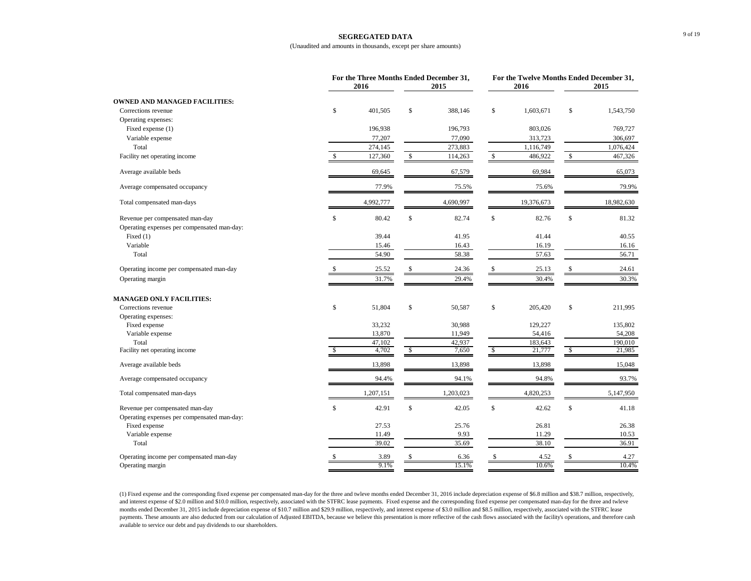#### **SEGREGATED DATA**

#### (Unaudited and amounts in thousands, except per share amounts)

|                                                                                | For the Three Months Ended December 31,<br>2016 | 2015          |              | 2016       | For the Twelve Months Ended December 31,<br>2015 |            |
|--------------------------------------------------------------------------------|-------------------------------------------------|---------------|--------------|------------|--------------------------------------------------|------------|
| <b>OWNED AND MANAGED FACILITIES:</b>                                           |                                                 |               |              |            |                                                  |            |
| Corrections revenue                                                            | \$<br>401,505                                   | \$<br>388,146 | \$           | 1,603,671  | \$                                               | 1,543,750  |
| Operating expenses:                                                            |                                                 |               |              |            |                                                  |            |
| Fixed expense (1)                                                              | 196,938                                         | 196,793       |              | 803,026    |                                                  | 769,727    |
| Variable expense                                                               | 77,207                                          | 77,090        |              | 313,723    |                                                  | 306,697    |
| Total                                                                          | 274,145                                         | 273,883       |              | 1,116,749  |                                                  | 1,076,424  |
| Facility net operating income                                                  | \$<br>127,360                                   | \$<br>114,263 | $\mathbb{S}$ | 486,922    | \$                                               | 467,326    |
| Average available beds                                                         | 69,645                                          | 67,579        |              | 69,984     |                                                  | 65,073     |
| Average compensated occupancy                                                  | 77.9%                                           | 75.5%         |              | 75.6%      |                                                  | 79.9%      |
| Total compensated man-days                                                     | 4,992,777                                       | 4,690,997     |              | 19,376,673 |                                                  | 18,982,630 |
| Revenue per compensated man-day<br>Operating expenses per compensated man-day: | \$<br>80.42                                     | \$<br>82.74   | \$           | 82.76      | \$                                               | 81.32      |
| Fixed $(1)$                                                                    | 39.44                                           | 41.95         |              | 41.44      |                                                  | 40.55      |
| Variable                                                                       | 15.46                                           | 16.43         |              | 16.19      |                                                  | 16.16      |
| Total                                                                          | 54.90                                           | 58.38         |              | 57.63      |                                                  | 56.71      |
|                                                                                |                                                 |               |              |            |                                                  |            |
| Operating income per compensated man-day                                       | \$<br>25.52                                     | \$<br>24.36   | $\mathbb{S}$ | 25.13      | \$                                               | 24.61      |
| Operating margin                                                               | 31.7%                                           | 29.4%         |              | 30.4%      |                                                  | 30.3%      |
| <b>MANAGED ONLY FACILITIES:</b>                                                |                                                 |               |              |            |                                                  |            |
| Corrections revenue                                                            | \$<br>51,804                                    | \$<br>50,587  | \$           | 205,420    | \$                                               | 211,995    |
| Operating expenses:                                                            |                                                 |               |              |            |                                                  |            |
| Fixed expense                                                                  | 33,232                                          | 30,988        |              | 129,227    |                                                  | 135,802    |
| Variable expense                                                               | 13,870                                          | 11,949        |              | 54,416     |                                                  | 54,208     |
| Total                                                                          | 47,102                                          | 42,937        |              | 183,643    |                                                  | 190,010    |
| Facility net operating income                                                  | \$<br>4,702                                     | \$<br>7,650   | \$           | 21,777     | \$                                               | 21,985     |
| Average available beds                                                         | 13,898                                          | 13,898        |              | 13,898     |                                                  | 15,048     |
| Average compensated occupancy                                                  | 94.4%                                           | 94.1%         |              | 94.8%      |                                                  | 93.7%      |
| Total compensated man-days                                                     | 1,207,151                                       | 1,203,023     |              | 4,820,253  |                                                  | 5,147,950  |
| Revenue per compensated man-day                                                | \$<br>42.91                                     | \$<br>42.05   | \$           | 42.62      | \$                                               | 41.18      |
| Operating expenses per compensated man-day:                                    |                                                 |               |              |            |                                                  |            |
| Fixed expense                                                                  | 27.53                                           | 25.76         |              | 26.81      |                                                  | 26.38      |
| Variable expense                                                               | 11.49                                           | 9.93          |              | 11.29      |                                                  | 10.53      |
| Total                                                                          | 39.02                                           | 35.69         |              | 38.10      |                                                  | 36.91      |
| Operating income per compensated man-day                                       | \$<br>3.89                                      | 6.36          |              | 4.52       | \$                                               | 4.27       |
| Operating margin                                                               | 9.1%                                            | 15.1%         |              | 10.6%      |                                                  | 10.4%      |

(1) Fixed expense and the corresponding fixed expense per compensated man-day for the three and twleve months ended December 31, 2016 include depreciation expense of \$6.8 million and \$38.7 million, respectively, and interest expense of \$2.0 million and \$10.0 million, respectively, associated with the STFRC lease payments. Fixed expense and the corresponding fixed expense per compensated man-day for the three and twleve months ended December 31, 2015 include depreciation expense of \$10.7 million and \$29.9 million, respectively, and interest expense of \$3.0 million and \$8.5 million, respectively, associated with the STFRC lease payments. These amounts are also deducted from our calculation of Adjusted EBITDA, because we believe this presentation is more reflective of the cash flows associated with the facility's operations, and therefore cash available to service our debt and pay dividends to our shareholders.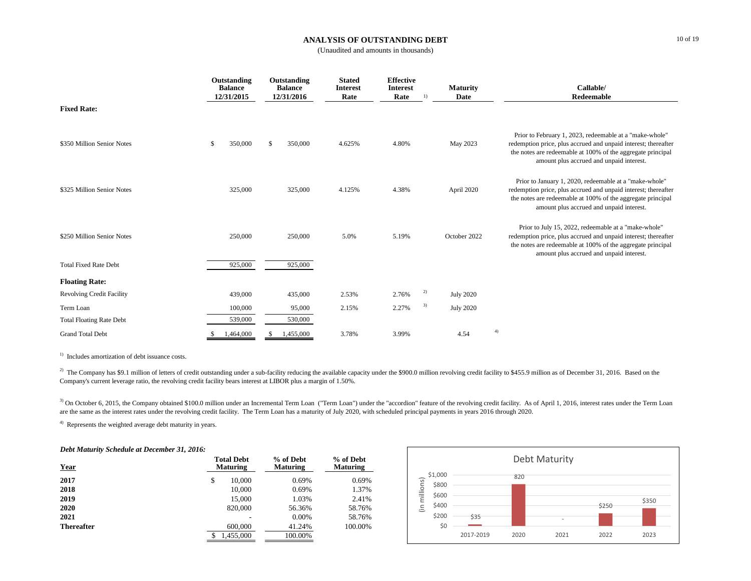### **ANALYSIS OF OUTSTANDING DEBT**

(Unaudited and amounts in thousands)

|                                                            | Outstanding<br><b>Balance</b><br>12/31/2015 |    | Outstanding<br><b>Balance</b><br>12/31/2016 | <b>Stated</b><br><b>Interest</b><br>Rate | <b>Effective</b><br><b>Interest</b><br>Rate | 1) | <b>Maturity</b><br>Date | Callable/<br>Redeemable                                                                                                                                                                                                              |
|------------------------------------------------------------|---------------------------------------------|----|---------------------------------------------|------------------------------------------|---------------------------------------------|----|-------------------------|--------------------------------------------------------------------------------------------------------------------------------------------------------------------------------------------------------------------------------------|
| <b>Fixed Rate:</b>                                         |                                             |    |                                             |                                          |                                             |    |                         |                                                                                                                                                                                                                                      |
| \$350 Million Senior Notes                                 | \$<br>350,000                               | \$ | 350,000                                     | 4.625%                                   | 4.80%                                       |    | May 2023                | Prior to February 1, 2023, redeemable at a "make-whole"<br>redemption price, plus accrued and unpaid interest; thereafter<br>the notes are redeemable at 100% of the aggregate principal<br>amount plus accrued and unpaid interest. |
| \$325 Million Senior Notes                                 | 325,000                                     |    | 325,000                                     | 4.125%                                   | 4.38%                                       |    | April 2020              | Prior to January 1, 2020, redeemable at a "make-whole"<br>redemption price, plus accrued and unpaid interest; thereafter<br>the notes are redeemable at 100% of the aggregate principal<br>amount plus accrued and unpaid interest.  |
| \$250 Million Senior Notes<br><b>Total Fixed Rate Debt</b> | 250,000                                     |    | 250,000                                     | 5.0%                                     | 5.19%                                       |    | October 2022            | Prior to July 15, 2022, redeemable at a "make-whole"<br>redemption price, plus accrued and unpaid interest; thereafter<br>the notes are redeemable at 100% of the aggregate principal<br>amount plus accrued and unpaid interest.    |
|                                                            | 925,000                                     |    | 925,000                                     |                                          |                                             |    |                         |                                                                                                                                                                                                                                      |
| <b>Floating Rate:</b>                                      |                                             |    |                                             |                                          |                                             |    |                         |                                                                                                                                                                                                                                      |
| <b>Revolving Credit Facility</b>                           | 439,000                                     |    | 435,000                                     | 2.53%                                    | 2.76%                                       | 2) | <b>July 2020</b>        |                                                                                                                                                                                                                                      |
| Term Loan                                                  | 100,000                                     |    | 95,000                                      | 2.15%                                    | 2.27%                                       | 3) | <b>July 2020</b>        |                                                                                                                                                                                                                                      |
| <b>Total Floating Rate Debt</b>                            | 539,000                                     |    | 530,000                                     |                                          |                                             |    |                         |                                                                                                                                                                                                                                      |
| <b>Grand Total Debt</b>                                    | 1,464,000                                   | £. | 1,455,000                                   | 3.78%                                    | 3.99%                                       |    | 4.54                    | 4)                                                                                                                                                                                                                                   |

<sup>1)</sup> Includes amortization of debt issuance costs.

 $^{2)}$  The Company has \$9.1 million of letters of credit outstanding under a sub-facility reducing the available capacity under the \$900.0 million revolving credit facility to \$455.9 million as of December 31, 2016. Based Company's current leverage ratio, the revolving credit facility bears interest at LIBOR plus a margin of 1.50%.

<sup>3)</sup> On October 6, 2015, the Company obtained \$100.0 million under an Incremental Term Loan ("Term Loan") under the "accordion" feature of the revolving credit facility. As of April 1, 2016, interest rates under the Term L are the same as the interest rates under the revolving credit facility. The Term Loan has a maturity of July 2020, with scheduled principal payments in years 2016 through 2020.

4) Represents the weighted average debt maturity in years.

#### *Debt Maturity Schedule at December 31, 2016:*

| <b>Year</b>       | <b>Total Debt</b><br><b>Maturing</b> | % of Debt<br><b>Maturing</b> | % of Debt<br><b>Maturing</b> |  |
|-------------------|--------------------------------------|------------------------------|------------------------------|--|
| 2017              | \$<br>10,000                         | 0.69%                        | 0.69%                        |  |
| 2018              | 10,000                               | 0.69%                        | 1.37%                        |  |
| 2019              | 15,000                               | 1.03%                        | 2.41%                        |  |
| 2020              | 820,000                              | 56.36%                       | 58.76%                       |  |
| 2021              |                                      | 0.00%                        | 58.76%                       |  |
| <b>Thereafter</b> | 600,000                              | 41.24%                       | 100.00%                      |  |
|                   | 1,455,000                            | 100.00%                      |                              |  |

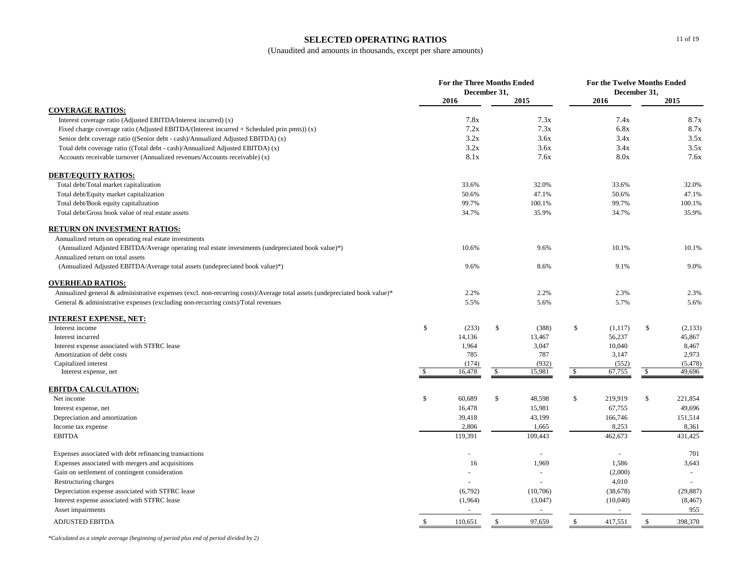# **SELECTED OPERATING RATIOS**

(Unaudited and amounts in thousands, except per share amounts)

|                                                                                                                           | <b>For the Three Months Ended</b><br>December 31, |         |              |                | For the Twelve Months Ended<br>December 31, |                     |               |           |
|---------------------------------------------------------------------------------------------------------------------------|---------------------------------------------------|---------|--------------|----------------|---------------------------------------------|---------------------|---------------|-----------|
|                                                                                                                           |                                                   | 2016    |              | 2015           |                                             | 2016                |               | 2015      |
| <b>COVERAGE RATIOS:</b>                                                                                                   |                                                   |         |              |                |                                             |                     |               |           |
| Interest coverage ratio (Adjusted EBITDA/Interest incurred) (x)                                                           |                                                   | 7.8x    |              | 7.3x           |                                             | 7.4x                |               | 8.7x      |
| Fixed charge coverage ratio (Adjusted EBITDA/(Interest incurred $+$ Scheduled prin pmts)) (x)                             |                                                   | 7.2x    |              | 7.3x           |                                             | 6.8x                |               | 8.7x      |
| Senior debt coverage ratio ((Senior debt - cash)/Annualized Adjusted EBITDA) (x)                                          |                                                   | 3.2x    |              | 3.6x           |                                             | 3.4x                |               | 3.5x      |
| Total debt coverage ratio ((Total debt - cash)/Annualized Adjusted EBITDA) (x)                                            |                                                   | 3.2x    |              | 3.6x           |                                             | 3.4x                |               | 3.5x      |
| Accounts receivable turnover (Annualized revenues/Accounts receivable) (x)                                                |                                                   | 8.1x    |              | 7.6x           |                                             | 8.0x                |               | 7.6x      |
| <b>DEBT/EQUITY RATIOS:</b>                                                                                                |                                                   |         |              |                |                                             |                     |               |           |
| Total debt/Total market capitalization                                                                                    |                                                   | 33.6%   |              | 32.0%          |                                             | 33.6%               |               | 32.0%     |
| Total debt/Equity market capitalization                                                                                   |                                                   | 50.6%   |              | 47.1%          |                                             | 50.6%               |               | 47.1%     |
| Total debt/Book equity capitalization                                                                                     |                                                   | 99.7%   |              | 100.1%         |                                             | 99.7%               |               | 100.1%    |
| Total debt/Gross book value of real estate assets                                                                         |                                                   | 34.7%   |              | 35.9%          |                                             | 34.7%               |               | 35.9%     |
| RETURN ON INVESTMENT RATIOS:                                                                                              |                                                   |         |              |                |                                             |                     |               |           |
| Annualized return on operating real estate investments                                                                    |                                                   |         |              |                |                                             |                     |               |           |
| (Annualized Adjusted EBITDA/Average operating real estate investments (undepreciated book value)*)                        |                                                   | 10.6%   |              | 9.6%           |                                             | 10.1%               |               | 10.1%     |
| Annualized return on total assets                                                                                         |                                                   |         |              |                |                                             |                     |               |           |
| (Annualized Adjusted EBITDA/Average total assets (undepreciated book value)*)                                             |                                                   | 9.6%    |              | 8.6%           |                                             | 9.1%                |               | 9.0%      |
| <b>OVERHEAD RATIOS:</b>                                                                                                   |                                                   |         |              |                |                                             |                     |               |           |
| Annualized general & administrative expenses (excl. non-recurring costs)/Average total assets (undepreciated book value)* |                                                   | 2.2%    |              | 2.2%           |                                             | 2.3%                |               | 2.3%      |
| General & administrative expenses (excluding non-recurring costs)/Total revenues                                          |                                                   | 5.5%    |              | 5.6%           |                                             | 5.7%                |               | 5.6%      |
| INTEREST EXPENSE, NET:                                                                                                    |                                                   |         |              |                |                                             |                     |               |           |
| Interest income                                                                                                           | \$                                                | (233)   | \$           | (388)          | \$                                          | (1, 117)            | $\mathbb{S}$  | (2, 133)  |
| Interest incurred                                                                                                         |                                                   | 14,136  |              | 13,467         |                                             | 56,237              |               | 45,867    |
| Interest expense associated with STFRC lease                                                                              |                                                   | 1,964   |              | 3,047          |                                             | 10,040              |               | 8,467     |
| Amortization of debt costs                                                                                                |                                                   | 785     |              | 787            |                                             | 3,147               |               | 2,973     |
| Capitalized interest                                                                                                      |                                                   | (174)   |              | (932)          |                                             | (552)               |               | (5, 478)  |
| Interest expense, net                                                                                                     | S                                                 | 16,478  | \$           | 15,981         | $\mathbb{S}$                                | 67,755              | \$            | 49,696    |
| EBITDA CALCULATION:                                                                                                       |                                                   |         |              |                |                                             |                     |               |           |
| Net income                                                                                                                | \$                                                | 60,689  | $\mathbb{S}$ | 48,598         | $\mathbb{S}$                                | 219,919             | <sup>\$</sup> | 221,854   |
| Interest expense, net                                                                                                     |                                                   | 16,478  |              | 15,981         |                                             | 67,755              |               | 49,696    |
| Depreciation and amortization                                                                                             |                                                   | 39,418  |              | 43,199         |                                             | 166,746             |               | 151,514   |
| Income tax expense                                                                                                        |                                                   | 2,806   |              | 1,665          |                                             | 8,253               |               | 8,361     |
| <b>EBITDA</b>                                                                                                             |                                                   | 119,391 |              | 109,443        |                                             | 462,673             |               | 431,425   |
| Expenses associated with debt refinancing transactions                                                                    |                                                   |         |              | $\sim$         |                                             | $\bar{\phantom{a}}$ |               | 701       |
| Expenses associated with mergers and acquisitions                                                                         |                                                   | 16      |              | 1,969          |                                             | 1,586               |               | 3,643     |
| Gain on settlement of contingent consideration                                                                            |                                                   |         |              | $\sim$         |                                             | (2,000)             |               | $\sim$    |
| Restructuring charges                                                                                                     |                                                   |         |              |                |                                             | 4,010               |               | $\sim$    |
| Depreciation expense associated with STFRC lease                                                                          |                                                   | (6,792) |              | (10,706)       |                                             | (38, 678)           |               | (29, 887) |
| Interest expense associated with STFRC lease                                                                              |                                                   | (1,964) |              | (3,047)        |                                             | (10,040)            |               | (8, 467)  |
| Asset impairments                                                                                                         |                                                   |         |              | $\blacksquare$ |                                             | $\bar{a}$           |               | 955       |
| <b>ADJUSTED EBITDA</b>                                                                                                    | <sup>\$</sup>                                     | 110,651 | $\mathbb{S}$ | 97,659         | $\mathbb{S}$                                | 417,551             | $\mathbb{S}$  | 398,370   |

*\*Calculated as a simple average (beginning of period plus end of period divided by 2)*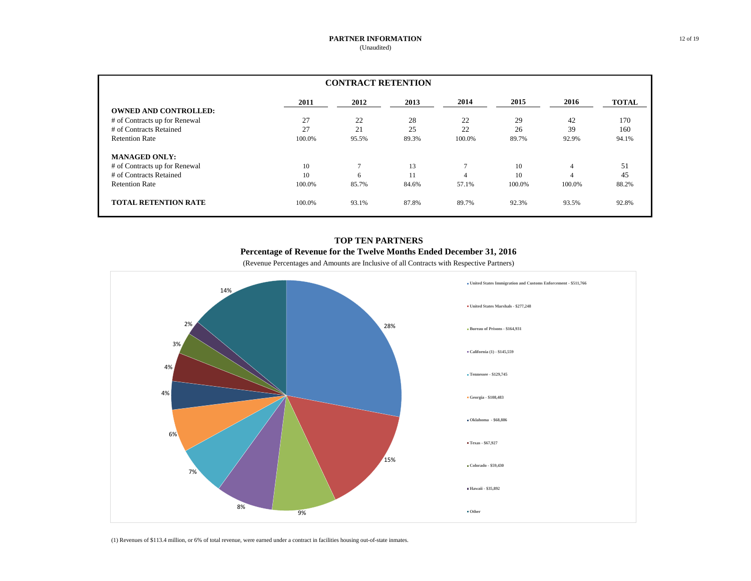| <b>CONTRACT RETENTION</b>     |        |              |       |        |        |        |              |  |
|-------------------------------|--------|--------------|-------|--------|--------|--------|--------------|--|
|                               | 2011   | 2012         | 2013  | 2014   | 2015   | 2016   | <b>TOTAL</b> |  |
| <b>OWNED AND CONTROLLED:</b>  |        |              |       |        |        |        |              |  |
| # of Contracts up for Renewal | 27     | 22           | 28    | 22     | 29     | 42     | 170          |  |
| # of Contracts Retained       | 27     | 21           | 25    | 22     | 26     | 39     | 160          |  |
| <b>Retention Rate</b>         | 100.0% | 95.5%        | 89.3% | 100.0% | 89.7%  | 92.9%  | 94.1%        |  |
| <b>MANAGED ONLY:</b>          |        |              |       |        |        |        |              |  |
| # of Contracts up for Renewal | 10     | $\mathbf{r}$ | 13    |        | 10     | 4      | 51           |  |
| # of Contracts Retained       | 10     | 6            | 11    |        | 10     |        | 45           |  |
| <b>Retention Rate</b>         | 100.0% | 85.7%        | 84.6% | 57.1%  | 100.0% | 100.0% | 88.2%        |  |
| <b>TOTAL RETENTION RATE</b>   | 100.0% | 93.1%        | 87.8% | 89.7%  | 92.3%  | 93.5%  | 92.8%        |  |

# **TOP TEN PARTNERS Percentage of Revenue for the Twelve Months Ended December 31, 2016**

(Revenue Percentages and Amounts are Inclusive of all Contracts with Respective Partners)



(1) Revenues of \$113.4 million, or 6% of total revenue, were earned under a contract in facilities housing out-of-state inmates.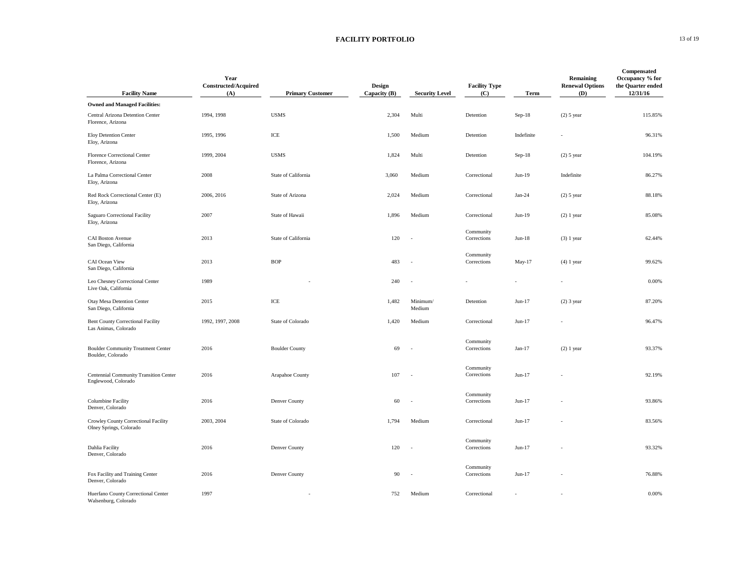### **FACILITY PORTFOLIO** 13 of 19

| <b>Facility Name</b>                                                 | Year<br><b>Constructed/Acquired</b><br>(A) | <b>Primary Customer</b>   | Design<br>Capacity (B) | <b>Security Level</b>    | <b>Facility Type</b><br>(C) | Term       | Remaining<br><b>Renewal Options</b><br>(D) | Compensated<br>Occupancy % for<br>the Quarter ended<br>12/31/16 |
|----------------------------------------------------------------------|--------------------------------------------|---------------------------|------------------------|--------------------------|-----------------------------|------------|--------------------------------------------|-----------------------------------------------------------------|
| <b>Owned and Managed Facilities:</b>                                 |                                            |                           |                        |                          |                             |            |                                            |                                                                 |
| Central Arizona Detention Center<br>Florence, Arizona                | 1994, 1998                                 | <b>USMS</b>               | 2,304                  | Multi                    | Detention                   | $Sep-18$   | $(2)$ 5 year                               | 115.85%                                                         |
| Eloy Detention Center<br>Eloy, Arizona                               | 1995, 1996                                 | $\ensuremath{\text{ICE}}$ | 1,500                  | Medium                   | Detention                   | Indefinite |                                            | 96.31%                                                          |
| Florence Correctional Center<br>Florence, Arizona                    | 1999, 2004                                 | <b>USMS</b>               | 1,824                  | Multi                    | Detention                   | $Sep-18$   | $(2)$ 5 year                               | 104.19%                                                         |
| La Palma Correctional Center<br>Eloy, Arizona                        | 2008                                       | State of California       | 3,060                  | Medium                   | Correctional                | Jun-19     | Indefinite                                 | 86.27%                                                          |
| Red Rock Correctional Center (E)<br>Eloy, Arizona                    | 2006, 2016                                 | State of Arizona          | 2,024                  | Medium                   | Correctional                | $Jan-24$   | $(2)$ 5 year                               | 88.18%                                                          |
| Saguaro Correctional Facility<br>Eloy, Arizona                       | 2007                                       | State of Hawaii           | 1,896                  | Medium                   | Correctional                | Jun-19     | $(2)$ 1 year                               | 85.08%                                                          |
| <b>CAI Boston Avenue</b><br>San Diego, California                    | 2013                                       | State of California       | 120                    | ÷,                       | Community<br>Corrections    | $Jun-18$   | $(3)$ 1 year                               | 62.44%                                                          |
| CAI Ocean View<br>San Diego, California                              | 2013                                       | <b>BOP</b>                | 483                    | ÷,                       | Community<br>Corrections    | May-17     | $(4)$ 1 year                               | 99.62%                                                          |
| Leo Chesney Correctional Center<br>Live Oak, California              | 1989                                       |                           | 240                    | $\overline{\phantom{a}}$ |                             |            |                                            | 0.00%                                                           |
| Otay Mesa Detention Center<br>San Diego, California                  | 2015                                       | ICE                       | 1,482                  | Minimum/<br>Medium       | Detention                   | $Jun-17$   | $(2)$ 3 year                               | 87.20%                                                          |
| <b>Bent County Correctional Facility</b><br>Las Animas, Colorado     | 1992, 1997, 2008                           | State of Colorado         | 1,420                  | Medium                   | Correctional                | $Jun-17$   |                                            | 96.47%                                                          |
| <b>Boulder Community Treatment Center</b><br>Boulder, Colorado       | 2016                                       | <b>Boulder County</b>     | 69                     |                          | Community<br>Corrections    | $Jan-17$   | $(2)$ 1 year                               | 93.37%                                                          |
| <b>Centennial Community Transition Center</b><br>Englewood, Colorado | 2016                                       | Arapahoe County           | 107                    |                          | Community<br>Corrections    | $Jun-17$   |                                            | 92.19%                                                          |
| <b>Columbine Facility</b><br>Denver, Colorado                        | 2016                                       | Denver County             | 60                     |                          | Community<br>Corrections    | $Jun-17$   |                                            | 93.86%                                                          |
| Crowley County Correctional Facility<br>Olney Springs, Colorado      | 2003, 2004                                 | State of Colorado         | 1,794                  | Medium                   | Correctional                | $Jun-17$   |                                            | 83.56%                                                          |
| Dahlia Facility<br>Denver, Colorado                                  | 2016                                       | Denver County             | 120                    | ÷.                       | Community<br>Corrections    | $Jun-17$   |                                            | 93.32%                                                          |
| Fox Facility and Training Center<br>Denver, Colorado                 | 2016                                       | Denver County             | 90                     | ÷.                       | Community<br>Corrections    | $Jun-17$   |                                            | 76.88%                                                          |
| Huerfano County Correctional Center<br>Walsenburg, Colorado          | 1997                                       |                           | 752                    | Medium                   | Correctional                |            |                                            | 0.00%                                                           |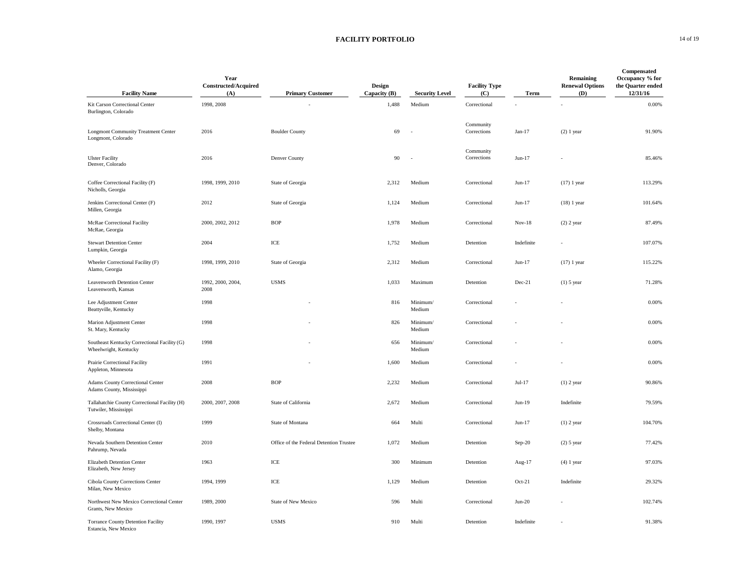### **FACILITY PORTFOLIO** 14 of 19

| <b>Facility Name</b>                                                   | Year<br>Constructed/Acquired<br>(A) | <b>Primary Customer</b>                 | Design<br>Capacity (B) | <b>Security Level</b> | <b>Facility Type</b><br>(C) | Term       | Remaining<br><b>Renewal Options</b><br>(D) | Compensated<br>Occupancy % for<br>the Quarter ended<br>12/31/16 |
|------------------------------------------------------------------------|-------------------------------------|-----------------------------------------|------------------------|-----------------------|-----------------------------|------------|--------------------------------------------|-----------------------------------------------------------------|
| Kit Carson Correctional Center<br>Burlington, Colorado                 | 1998, 2008                          |                                         | 1,488                  | Medium                | Correctional                |            |                                            | 0.00%                                                           |
| <b>Longmont Community Treatment Center</b><br>Longmont, Colorado       | 2016                                | <b>Boulder County</b>                   | 69                     | ÷.                    | Community<br>Corrections    | Jan-17     | $(2)$ 1 year                               | 91.90%                                                          |
| <b>Ulster Facility</b><br>Denver, Colorado                             | 2016                                | Denver County                           | 90                     | ÷.                    | Community<br>Corrections    | Jun-17     |                                            | 85.46%                                                          |
| Coffee Correctional Facility (F)<br>Nicholls, Georgia                  | 1998, 1999, 2010                    | State of Georgia                        | 2,312                  | Medium                | Correctional                | Jun-17     | $(17)$ 1 year                              | 113.29%                                                         |
| Jenkins Correctional Center (F)<br>Millen, Georgia                     | 2012                                | State of Georgia                        | 1,124                  | Medium                | Correctional                | Jun-17     | $(18)$ 1 year                              | 101.64%                                                         |
| McRae Correctional Facility<br>McRae, Georgia                          | 2000, 2002, 2012                    | <b>BOP</b>                              | 1,978                  | Medium                | Correctional                | $Nov-18$   | $(2)$ 2 year                               | 87.49%                                                          |
| <b>Stewart Detention Center</b><br>Lumpkin, Georgia                    | 2004                                | ICE                                     | 1,752                  | Medium                | Detention                   | Indefinite |                                            | 107.07%                                                         |
| Wheeler Correctional Facility (F)<br>Alamo, Georgia                    | 1998, 1999, 2010                    | State of Georgia                        | 2,312                  | Medium                | Correctional                | Jun-17     | $(17)$ 1 year                              | 115.22%                                                         |
| Leavenworth Detention Center<br>Leavenworth, Kansas                    | 1992, 2000, 2004.<br>2008           | <b>USMS</b>                             | 1,033                  | Maximum               | Detention                   | Dec-21     | $(1)$ 5 year                               | 71.28%                                                          |
| Lee Adjustment Center<br>Beattyville, Kentucky                         | 1998                                |                                         | 816                    | Minimum/<br>Medium    | Correctional                |            |                                            | 0.00%                                                           |
| Marion Adjustment Center<br>St. Mary, Kentucky                         | 1998                                |                                         | 826                    | Minimum/<br>Medium    | Correctional                |            |                                            | 0.00%                                                           |
| Southeast Kentucky Correctional Facility (G)<br>Wheelwright, Kentucky  | 1998                                |                                         | 656                    | Minimum/<br>Medium    | Correctional                |            |                                            | 0.00%                                                           |
| Prairie Correctional Facility<br>Appleton, Minnesota                   | 1991                                |                                         | 1,600                  | Medium                | Correctional                |            |                                            | 0.00%                                                           |
| Adams County Correctional Center<br>Adams County, Mississippi          | 2008                                | <b>BOP</b>                              | 2,232                  | Medium                | Correctional                | Jul-17     | $(1)$ 2 year                               | 90.86%                                                          |
| Tallahatchie County Correctional Facility (H)<br>Tutwiler, Mississippi | 2000, 2007, 2008                    | State of California                     | 2,672                  | Medium                | Correctional                | $Jun-19$   | Indefinite                                 | 79.59%                                                          |
| Crossroads Correctional Center (I)<br>Shelby, Montana                  | 1999                                | State of Montana                        | 664                    | Multi                 | Correctional                | Jun-17     | $(1)$ 2 year                               | 104.70%                                                         |
| Nevada Southern Detention Center<br>Pahrump, Nevada                    | 2010                                | Office of the Federal Detention Trustee | 1,072                  | Medium                | Detention                   | $Sep-20$   | $(2)$ 5 year                               | 77.42%                                                          |
| Elizabeth Detention Center<br>Elizabeth, New Jersey                    | 1963                                | ICE                                     | 300                    | Minimum               | Detention                   | Aug-17     | $(4)$ 1 year                               | 97.03%                                                          |
| Cibola County Corrections Center<br>Milan, New Mexico                  | 1994, 1999                          | ICE                                     | 1,129                  | Medium                | Detention                   | $Oct-21$   | Indefinite                                 | 29.32%                                                          |
| Northwest New Mexico Correctional Center<br>Grants, New Mexico         | 1989, 2000                          | State of New Mexico                     | 596                    | Multi                 | Correctional                | $Jun-20$   |                                            | 102.74%                                                         |
| Torrance County Detention Facility<br>Estancia, New Mexico             | 1990, 1997                          | <b>USMS</b>                             | 910                    | Multi                 | Detention                   | Indefinite |                                            | 91.38%                                                          |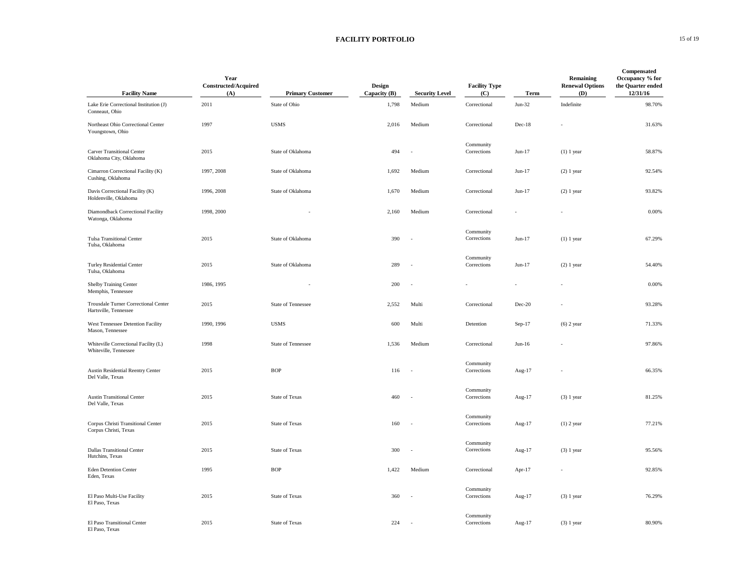### **FACILITY PORTFOLIO** 15 of 19

| <b>Facility Name</b>                                          | Year<br>Constructed/Acquired<br>(A) | <b>Primary Customer</b> | Design<br>Capacity (B) | <b>Security Level</b> | <b>Facility Type</b><br>(C) | Term      | Remaining<br><b>Renewal Options</b><br>(D) | Compensated<br>Occupancy % for<br>the Quarter ended<br>12/31/16 |
|---------------------------------------------------------------|-------------------------------------|-------------------------|------------------------|-----------------------|-----------------------------|-----------|--------------------------------------------|-----------------------------------------------------------------|
| Lake Erie Correctional Institution (J)<br>Conneaut, Ohio      | 2011                                | State of Ohio           | 1,798                  | Medium                | Correctional                | $Jun-32$  | Indefinite                                 | 98.70%                                                          |
| Northeast Ohio Correctional Center<br>Youngstown, Ohio        | 1997                                | <b>USMS</b>             | 2,016                  | Medium                | Correctional                | $Dec-18$  |                                            | 31.63%                                                          |
| <b>Carver Transitional Center</b><br>Oklahoma City, Oklahoma  | 2015                                | State of Oklahoma       | 494                    |                       | Community<br>Corrections    | Jun-17    | $(1)$ 1 year                               | 58.87%                                                          |
| Cimarron Correctional Facility (K)<br>Cushing, Oklahoma       | 1997, 2008                          | State of Oklahoma       | 1,692                  | Medium                | Correctional                | Jun-17    | $(2)$ 1 year                               | 92.54%                                                          |
| Davis Correctional Facility (K)<br>Holdenville, Oklahoma      | 1996, 2008                          | State of Oklahoma       | 1,670                  | Medium                | Correctional                | $Jun-17$  | $(2)$ 1 year                               | 93.82%                                                          |
| Diamondback Correctional Facility<br>Watonga, Oklahoma        | 1998, 2000                          |                         | 2,160                  | Medium                | Correctional                |           |                                            | 0.00%                                                           |
| <b>Tulsa Transitional Center</b><br>Tulsa, Oklahoma           | 2015                                | State of Oklahoma       | 390                    | ÷.                    | Community<br>Corrections    | Jun-17    | $(1)$ 1 year                               | 67.29%                                                          |
| <b>Turley Residential Center</b><br>Tulsa, Oklahoma           | 2015                                | State of Oklahoma       | 289                    | ÷.                    | Community<br>Corrections    | $Jun-17$  | $(2)$ 1 year                               | 54.40%                                                          |
| <b>Shelby Training Center</b><br>Memphis, Tennessee           | 1986, 1995                          |                         | 200                    |                       |                             |           |                                            | $0.00\%$                                                        |
| Trousdale Turner Correctional Center<br>Hartsville, Tennessee | 2015                                | State of Tennessee      | 2,552                  | Multi                 | Correctional                | Dec-20    |                                            | 93.28%                                                          |
| West Tennessee Detention Facility<br>Mason, Tennessee         | 1990, 1996                          | <b>USMS</b>             | 600                    | Multi                 | Detention                   | $Sep-17$  | $(6)$ 2 year                               | 71.33%                                                          |
| Whiteville Correctional Facility (L)<br>Whiteville, Tennessee | 1998                                | State of Tennessee      | 1,536                  | Medium                | Correctional                | $Jun-16$  |                                            | 97.86%                                                          |
| <b>Austin Residential Reentry Center</b><br>Del Valle, Texas  | 2015                                | <b>BOP</b>              | 116                    | J.                    | Community<br>Corrections    | Aug-17    |                                            | 66.35%                                                          |
| <b>Austin Transitional Center</b><br>Del Valle, Texas         | 2015                                | <b>State of Texas</b>   | 460                    |                       | Community<br>Corrections    | Aug-17    | $(3)$ 1 year                               | 81.25%                                                          |
| Corpus Christi Transitional Center<br>Corpus Christi, Texas   | 2015                                | <b>State of Texas</b>   | 160                    | . —                   | Community<br>Corrections    | Aug-17    | $(1)$ 2 year                               | 77.21%                                                          |
| <b>Dallas Transitional Center</b><br>Hutchins, Texas          | 2015                                | <b>State of Texas</b>   | 300                    |                       | Community<br>Corrections    | Aug-17    | $(3)$ 1 year                               | 95.56%                                                          |
| <b>Eden Detention Center</b><br>Eden, Texas                   | 1995                                | <b>BOP</b>              | 1,422                  | Medium                | Correctional                | Apr- $17$ |                                            | 92.85%                                                          |
| El Paso Multi-Use Facility<br>El Paso, Texas                  | 2015                                | State of Texas          | 360                    | ÷.                    | Community<br>Corrections    | Aug-17    | $(3)$ 1 year                               | 76.29%                                                          |
| El Paso Transitional Center<br>El Paso, Texas                 | 2015                                | <b>State of Texas</b>   | 224                    |                       | Community<br>Corrections    | Aug-17    | $(3)$ 1 year                               | 80.90%                                                          |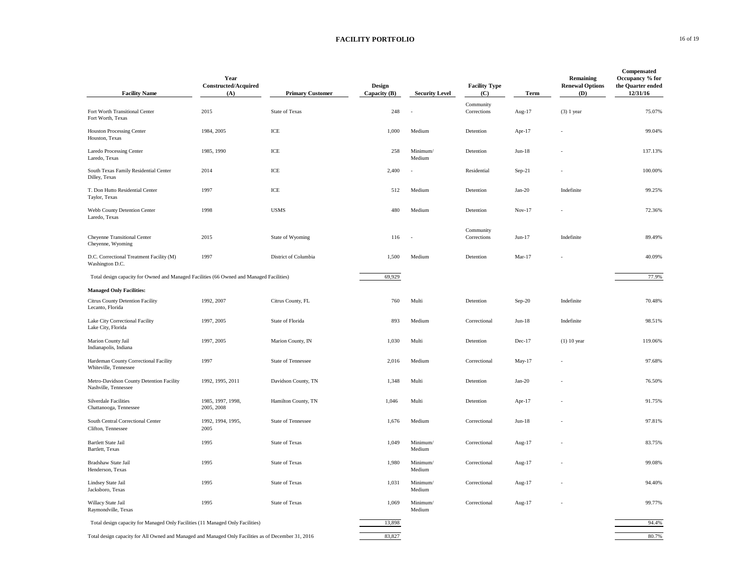### **FACILITY PORTFOLIO** 16 of 19

| <b>Facility Name</b>                                                                                | Year<br>Constructed/Acquired<br>(A) | <b>Primary Customer</b> | Design<br>Capacity (B) | <b>Security Level</b> | <b>Facility Type</b><br>(C) | Term     | Remaining<br><b>Renewal Options</b><br>(D) | Compensated<br>Occupancy % for<br>the Quarter ended<br>12/31/16 |
|-----------------------------------------------------------------------------------------------------|-------------------------------------|-------------------------|------------------------|-----------------------|-----------------------------|----------|--------------------------------------------|-----------------------------------------------------------------|
| Fort Worth Transitional Center<br>Fort Worth, Texas                                                 | 2015                                | <b>State of Texas</b>   | 248                    |                       | Community<br>Corrections    | Aug-17   | $(3)$ 1 year                               | 75.07%                                                          |
| <b>Houston Processing Center</b><br>Houston, Texas                                                  | 1984, 2005                          | ICE                     | 1,000                  | Medium                | Detention                   | Apr-17   |                                            | 99.04%                                                          |
| Laredo Processing Center<br>Laredo, Texas                                                           | 1985, 1990                          | ICE                     | 258                    | Minimum/<br>Medium    | Detention                   | $Jun-18$ |                                            | 137.13%                                                         |
| South Texas Family Residential Center<br>Dilley, Texas                                              | 2014                                | ICE                     | 2,400                  |                       | Residential                 | $Sep-21$ |                                            | 100.00%                                                         |
| T. Don Hutto Residential Center<br>Taylor, Texas                                                    | 1997                                | $\rm ICE$               | 512                    | Medium                | Detention                   | $Jan-20$ | Indefinite                                 | 99.25%                                                          |
| Webb County Detention Center<br>Laredo, Texas                                                       | 1998                                | <b>USMS</b>             | 480                    | Medium                | Detention                   | $Nov-17$ |                                            | 72.36%                                                          |
| Cheyenne Transitional Center<br>Cheyenne, Wyoming                                                   | 2015                                | State of Wyoming        | 116                    |                       | Community<br>Corrections    | $Jun-17$ | Indefinite                                 | 89.49%                                                          |
| D.C. Correctional Treatment Facility (M)<br>Washington D.C.                                         | 1997                                | District of Columbia    | 1,500                  | Medium                | Detention                   | $Mar-17$ |                                            | 40.09%                                                          |
| Total design capacity for Owned and Managed Facilities (66 Owned and Managed Facilities)            |                                     |                         | 69,929                 |                       |                             |          |                                            | 77.9%                                                           |
| <b>Managed Only Facilities:</b>                                                                     |                                     |                         |                        |                       |                             |          |                                            |                                                                 |
| Citrus County Detention Facility<br>Lecanto, Florida                                                | 1992, 2007                          | Citrus County, FL       | 760                    | Multi                 | Detention                   | $Sep-20$ | Indefinite                                 | 70.48%                                                          |
| Lake City Correctional Facility<br>Lake City, Florida                                               | 1997, 2005                          | State of Florida        | 893                    | Medium                | Correctional                | $Jun-18$ | Indefinite                                 | 98.51%                                                          |
| Marion County Jail<br>Indianapolis, Indiana                                                         | 1997, 2005                          | Marion County, IN       | 1,030                  | Multi                 | Detention                   | Dec-17   | $(1)$ 10 year                              | 119.06%                                                         |
| Hardeman County Correctional Facility<br>Whiteville, Tennessee                                      | 1997                                | State of Tennessee      | 2,016                  | Medium                | Correctional                | May-17   |                                            | 97.68%                                                          |
| Metro-Davidson County Detention Facility<br>Nashville, Tennessee                                    | 1992, 1995, 2011                    | Davidson County, TN     | 1,348                  | Multi                 | Detention                   | $Jan-20$ |                                            | 76.50%                                                          |
| Silverdale Facilities<br>Chattanooga, Tennessee                                                     | 1985, 1997, 1998,<br>2005, 2008     | Hamilton County, TN     | 1,046                  | Multi                 | Detention                   | Apr-17   |                                            | 91.75%                                                          |
| South Central Correctional Center<br>Clifton, Tennessee                                             | 1992, 1994, 1995,<br>2005           | State of Tennessee      | 1,676                  | Medium                | Correctional                | $Jun-18$ |                                            | 97.81%                                                          |
| Bartlett State Jail<br>Bartlett, Texas                                                              | 1995                                | State of Texas          | 1,049                  | Minimum/<br>Medium    | Correctional                | Aug-17   |                                            | 83.75%                                                          |
| Bradshaw State Jail<br>Henderson, Texas                                                             | 1995                                | <b>State of Texas</b>   | 1,980                  | Minimum/<br>Medium    | Correctional                | Aug-17   |                                            | 99.08%                                                          |
| Lindsey State Jail<br>Jacksboro, Texas                                                              | 1995                                | <b>State of Texas</b>   | 1,031                  | Minimum/<br>Medium    | Correctional                | Aug-17   |                                            | 94.40%                                                          |
| Willacy State Jail<br>Raymondville, Texas                                                           | 1995                                | <b>State of Texas</b>   | 1,069                  | Minimum/<br>Medium    | Correctional                | Aug-17   |                                            | 99.77%                                                          |
| Total design capacity for Managed Only Facilities (11 Managed Only Facilities)                      |                                     |                         | 13,898                 |                       |                             |          |                                            | 94.4%                                                           |
| Total design capacity for All Owned and Managed and Managed Only Facilities as of December 31, 2016 |                                     |                         | 83,827                 |                       |                             |          |                                            | 80.7%                                                           |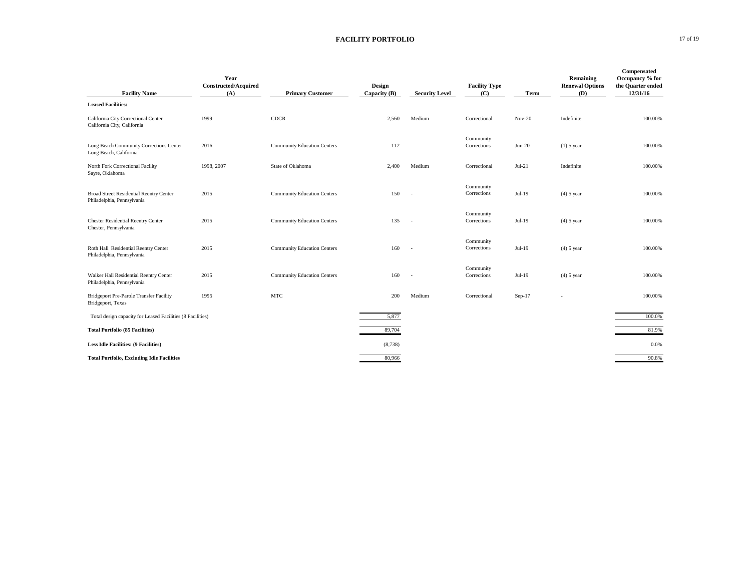### **FACILITY PORTFOLIO** 17 of 19

| <b>Facility Name</b>                                                  | Year<br><b>Constructed/Acquired</b><br>(A) | <b>Primary Customer</b>            | Design<br>Capacity (B) | <b>Security Level</b>    | <b>Facility Type</b><br>(C) | Term     | Remaining<br><b>Renewal Options</b><br>(D) | Compensated<br>Occupancy % for<br>the Quarter ended<br>12/31/16 |
|-----------------------------------------------------------------------|--------------------------------------------|------------------------------------|------------------------|--------------------------|-----------------------------|----------|--------------------------------------------|-----------------------------------------------------------------|
| <b>Leased Facilities:</b>                                             |                                            |                                    |                        |                          |                             |          |                                            |                                                                 |
| California City Correctional Center<br>California City, California    | 1999                                       | <b>CDCR</b>                        | 2,560                  | Medium                   | Correctional                | $Nov-20$ | Indefinite                                 | 100.00%                                                         |
| Long Beach Community Corrections Center<br>Long Beach, California     | 2016                                       | <b>Community Education Centers</b> | 112                    | $\overline{\phantom{a}}$ | Community<br>Corrections    | $Jun-20$ | $(1)$ 5 year                               | 100.00%                                                         |
| North Fork Correctional Facility<br>Sayre, Oklahoma                   | 1998, 2007                                 | State of Oklahoma                  | 2,400                  | Medium                   | Correctional                | $Jul-21$ | Indefinite                                 | 100.00%                                                         |
| Broad Street Residential Reentry Center<br>Philadelphia, Pennsylvania | 2015                                       | <b>Community Education Centers</b> | 150                    | $\overline{\phantom{a}}$ | Community<br>Corrections    | Jul-19   | $(4)$ 5 year                               | 100.00%                                                         |
| <b>Chester Residential Reentry Center</b><br>Chester, Pennsylvania    | 2015                                       | <b>Community Education Centers</b> | 135                    | $\sim$                   | Community<br>Corrections    | Jul-19   | $(4)$ 5 year                               | 100,00%                                                         |
| Roth Hall Residential Reentry Center<br>Philadelphia, Pennsylvania    | 2015                                       | <b>Community Education Centers</b> | 160                    |                          | Community<br>Corrections    | Jul-19   | $(4)$ 5 year                               | 100.00%                                                         |
| Walker Hall Residential Reentry Center<br>Philadelphia, Pennsylvania  | 2015                                       | <b>Community Education Centers</b> | 160                    | $\sim$                   | Community<br>Corrections    | $Jul-19$ | $(4)$ 5 year                               | 100.00%                                                         |
| Bridgeport Pre-Parole Transfer Facility<br>Bridgeport, Texas          | 1995                                       | <b>MTC</b>                         | 200                    | Medium                   | Correctional                | $Sep-17$ |                                            | 100.00%                                                         |
| Total design capacity for Leased Facilities (8 Facilities)            |                                            |                                    | 5,877                  |                          |                             |          |                                            | 100.0%                                                          |
| <b>Total Portfolio (85 Facilities)</b>                                |                                            |                                    | 89,704                 |                          |                             |          |                                            | 81.9%                                                           |
| <b>Less Idle Facilities: (9 Facilities)</b>                           |                                            |                                    | (8,738)                |                          |                             |          |                                            | 0.0%                                                            |
| <b>Total Portfolio, Excluding Idle Facilities</b>                     |                                            |                                    | 80,966                 |                          |                             |          |                                            | 90.8%                                                           |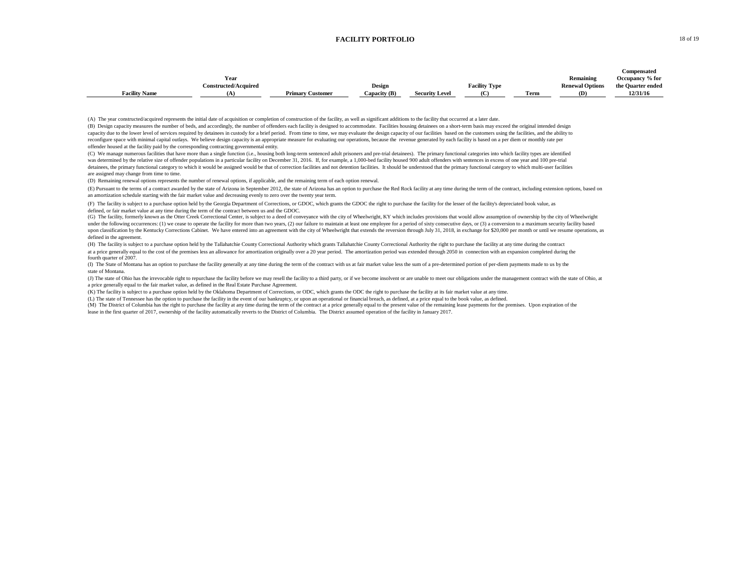#### **FACILITY PORTFOLIO** 18 of 19

|                      |                             |                         |              |                       |                      |              |                        | Compensated       |
|----------------------|-----------------------------|-------------------------|--------------|-----------------------|----------------------|--------------|------------------------|-------------------|
|                      | Year                        |                         |              |                       |                      |              | Remaining              | Occupancy % for   |
|                      | <b>Constructed/Acquired</b> |                         | Design       |                       | <b>Facility Type</b> |              | <b>Renewal Options</b> | the Quarter ended |
| <b>Facility Name</b> |                             | <b>Primary Customer</b> | Capacity (B) | <b>Security Level</b> | (C)                  | nes.<br>Ferm | (D)                    | 12/31/16          |

(A) The year constructed/acquired represents the initial date of acquisition or completion of construction of the facility, as well as significant additions to the facility that occurred at a later date.

offender housed at the facility paid by the corresponding contracting governmental entity. (B) Design capacity measures the number of beds, and accordingly, the number of offenders each facility is designed to accommodate. Facilities housing detainees on a short-term basis may exceed the original intended design capacity due to the lower level of services required by detainees in custody for a brief period. From time to time, we may evaluate the design capacity of our facilities based on the customers using the facilities, and the reconfigure space with minimal capital outlays. We believe design capacity is an appropriate measure for evaluating our operations, because the revenue generated by each facility is based on a per diem or monthly rate per

(C) We manage numerous facilities that have more than a single function (i.e., housing both long-term sentenced adult prisoners and pre-trial detainees). The primary functional categories into which facility types are iden are assigned may change from time to time. was determined by the relative size of offender populations in a particular facility on December 31, 2016. If, for example, a 1,000-bed facility boused 900 adult offenders with sentences in excess of one year and 100 pre-t detainees, the primary functional category to which it would be assigned would be that of correction facilities and not detention facilities. It should be understood that the primary functional category to which multi-user

(D) Remaining renewal options represents the number of renewal options, if applicable, and the remaining term of each option renewal.

(E) Pursuant to the terms of a contract awarded by the state of Arizona in September 2012, the state of Arizona has an option to purchase the Red Rock facility at any time during the term of the contract, including extensi an amortization schedule starting with the fair market value and decreasing evenly to zero over the twenty year term.

(F) The facility is subject to a purchase option held by the Georgia Department of Corrections, or GDOC, which grants the GDOC the right to purchase the facility for the lesser of the facility's depreciated book value, as defined, or fair market value at any time during the term of the contract between us and the GDOC.

(G) The facility, formerly known as the Otter Creek Correctional Center, is subject to a deed of convevance with the city of Wheelwright, KY which includes provisions that would allow assumption of ownership by the city of under the following occurrences: (1) we cease to operate the facility for more than two years, (2) our failure to maintain at least one employee for a period of sixty consecutive days, or (3) a conversion to a maximum secu upon classification by the Kentucky Corrections Cabinet. We have entered into an agreement with the city of Wheelwright that extends the reversion through July 31, 2018, in exchange for \$20,000 per month or until we resume defined in the agreement.

(H) The facility is subject to a purchase option held by the Tallahatchie County Correctional Authority which grants Tallahatchie County Correctional Authority the right to purchase the facility at any time during the cont at a price generally equal to the cost of the premises less an allowance for amortization originally over a 20 year period. The amortization period was extended through 2050 in connection with an expansion completed during fourth quarter of 2007.

state of Montana. (I) The State of Montana has an option to purchase the facility generally at any time during the term of the contract with us at fair market value less the sum of a pre-determined portion of per-diem payments made to us by

(J) The state of Ohio has the irrevocable right to repurchase the facility before we may resell the facility to a third party, or if we become insolvent or are unable to meet our obligations under the management contract w a price generally equal to the fair market value, as defined in the Real Estate Purchase Agreement.

(K) The facility is subject to a purchase option held by the Oklahoma Department of Corrections, or ODC, which grants the ODC the right to purchase the facility at its fair market value at any time.

(L) The state of Tennessee has the option to purchase the facility in the event of our bankruptcy, or upon an operational or financial breach, as defined, at a price equal to the book value, as defined.

(M) The District of Columbia has the right to purchase the facility at any time during the term of the contract at a price generally equal to the present value of the remaining lease payments for the premises. Upon expirat

lease in the first quarter of 2017, ownership of the facility automatically reverts to the District of Columbia. The District assumed operation of the facility in January 2017.